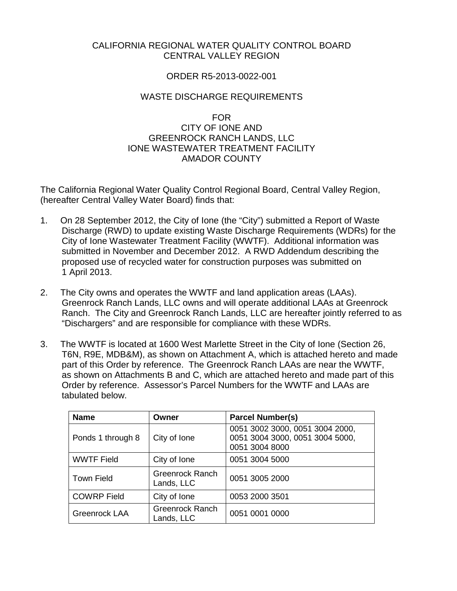# CALIFORNIA REGIONAL WATER QUALITY CONTROL BOARD CENTRAL VALLEY REGION

## ORDER R5-2013-0022-001

## WASTE DISCHARGE REQUIREMENTS

#### FOR

## CITY OF IONE AND GREENROCK RANCH LANDS, LLC IONE WASTEWATER TREATMENT FACILITY AMADOR COUNTY

The California Regional Water Quality Control Regional Board, Central Valley Region, (hereafter Central Valley Water Board) finds that:

- 1. On 28 September 2012, the City of Ione (the "City") submitted a Report of Waste Discharge (RWD) to update existing Waste Discharge Requirements (WDRs) for the City of Ione Wastewater Treatment Facility (WWTF). Additional information was submitted in November and December 2012. A RWD Addendum describing the proposed use of recycled water for construction purposes was submitted on 1 April 2013.
- 2. The City owns and operates the WWTF and land application areas (LAAs). Greenrock Ranch Lands, LLC owns and will operate additional LAAs at Greenrock Ranch. The City and Greenrock Ranch Lands, LLC are hereafter jointly referred to as "Dischargers" and are responsible for compliance with these WDRs.
- 3. The WWTF is located at 1600 West Marlette Street in the City of Ione (Section 26, T6N, R9E, MDB&M), as shown on Attachment A, which is attached hereto and made part of this Order by reference. The Greenrock Ranch LAAs are near the WWTF, as shown on Attachments B and C, which are attached hereto and made part of this Order by reference. Assessor's Parcel Numbers for the WWTF and LAAs are tabulated below.

| <b>Name</b>        | Owner                                | <b>Parcel Number(s)</b>                                                              |
|--------------------|--------------------------------------|--------------------------------------------------------------------------------------|
| Ponds 1 through 8  | City of Ione                         | 0051 3002 3000, 0051 3004 2000,<br>0051 3004 3000, 0051 3004 5000,<br>0051 3004 8000 |
| <b>WWTF Field</b>  | City of Ione                         | 0051 3004 5000                                                                       |
| <b>Town Field</b>  | <b>Greenrock Ranch</b><br>Lands, LLC | 0051 3005 2000                                                                       |
| <b>COWRP Field</b> | City of Ione                         | 0053 2000 3501                                                                       |
| Greenrock LAA      | <b>Greenrock Ranch</b><br>Lands, LLC | 0051 0001 0000                                                                       |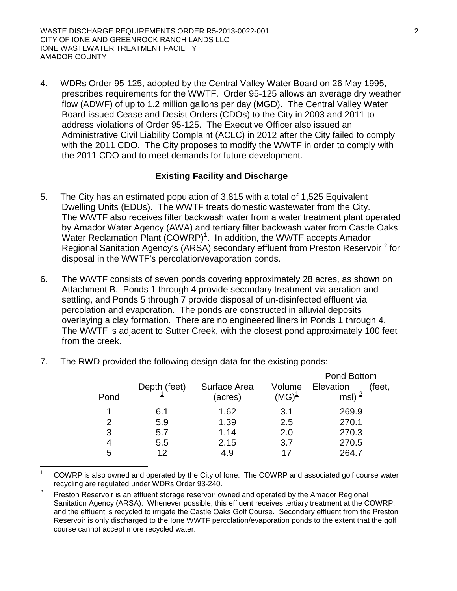4. WDRs Order 95-125, adopted by the Central Valley Water Board on 26 May 1995, prescribes requirements for the WWTF. Order 95-125 allows an average dry weather flow (ADWF) of up to 1.2 million gallons per day (MGD). The Central Valley Water Board issued Cease and Desist Orders (CDOs) to the City in 2003 and 2011 to address violations of Order 95-125. The Executive Officer also issued an Administrative Civil Liability Complaint (ACLC) in 2012 after the City failed to comply with the 2011 CDO. The City proposes to modify the WWTF in order to comply with the 2011 CDO and to meet demands for future development.

# **Existing Facility and Discharge**

- 5. The City has an estimated population of 3,815 with a total of 1,525 Equivalent Dwelling Units (EDUs). The WWTF treats domestic wastewater from the City. The WWTF also receives filter backwash water from a water treatment plant operated by Amador Water Agency (AWA) and tertiary filter backwash water from Castle Oaks Water Reclamation Plant (COWRP)<sup>[1](#page-1-0)</sup>. In addition, the WWTF accepts Amador Regional Sanitation Agency's (ARSA) secondary effluent from Preston Reservoir<sup>[2](#page-1-1)</sup> for disposal in the WWTF's percolation/evaporation ponds.
- 6. The WWTF consists of seven ponds covering approximately 28 acres, as shown on Attachment B. Ponds 1 through 4 provide secondary treatment via aeration and settling, and Ponds 5 through 7 provide disposal of un-disinfected effluent via percolation and evaporation. The ponds are constructed in alluvial deposits overlaying a clay formation. There are no engineered liners in Ponds 1 through 4. The WWTF is adjacent to Sutter Creek, with the closest pond approximately 100 feet from the creek.

|      |              |              |          | Pond Bottom         |
|------|--------------|--------------|----------|---------------------|
|      | Depth (feet) | Surface Area | Volume   | Elevation<br>(feet, |
| Pond |              | (acres)      | $(MG)^1$ | msl) $^2$           |
|      | 6.1          | 1.62         | 3.1      | 269.9               |
| 2    | 5.9          | 1.39         | 2.5      | 270.1               |
| 3    | 5.7          | 1.14         | 2.0      | 270.3               |
| 4    | 5.5          | 2.15         | 3.7      | 270.5               |
| 5    | 1 2          | 4.9          |          | 264.7               |

7. The RWD provided the following design data for the existing ponds:

<span id="page-1-0"></span> 1 COWRP is also owned and operated by the City of Ione. The COWRP and associated golf course water recycling are regulated under WDRs Order 93-240.

<span id="page-1-1"></span><sup>2</sup> Preston Reservoir is an effluent storage reservoir owned and operated by the Amador Regional Sanitation Agency (ARSA). Whenever possible, this effluent receives tertiary treatment at the COWRP, and the effluent is recycled to irrigate the Castle Oaks Golf Course. Secondary effluent from the Preston Reservoir is only discharged to the Ione WWTF percolation/evaporation ponds to the extent that the golf course cannot accept more recycled water.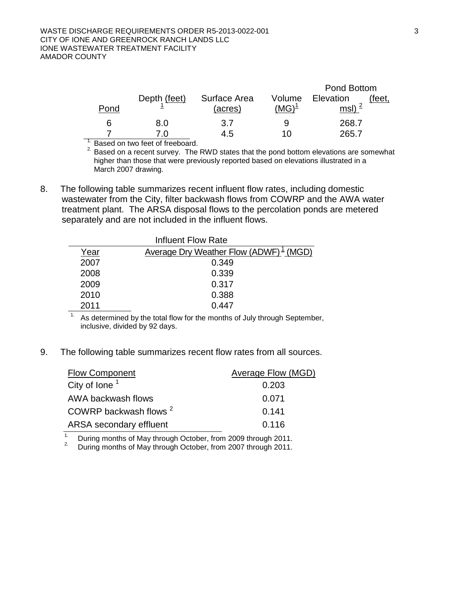|      |              |              |          | Pond Bottom        |        |
|------|--------------|--------------|----------|--------------------|--------|
|      | Depth (feet) | Surface Area | Volume   | Elevation          | 'feet, |
| Pond |              | (acres)      | $(MG)^1$ | msl) $\frac{2}{ }$ |        |
| 6    | 8.0          | 3.7          | q        | 268.7              |        |
|      | 7 በ          | 4.5          | 10       | 265.7              |        |

<sup>1.</sup> Based on two feet of freeboard.

 $2.$  Based on a recent survey. The RWD states that the pond bottom elevations are somewhat higher than those that were previously reported based on elevations illustrated in a March 2007 drawing.

8. The following table summarizes recent influent flow rates, including domestic wastewater from the City, filter backwash flows from COWRP and the AWA water treatment plant. The ARSA disposal flows to the percolation ponds are metered separately and are not included in the influent flows.

| <b>Influent Flow Rate</b> |                                           |  |  |  |  |  |
|---------------------------|-------------------------------------------|--|--|--|--|--|
| Year                      | Average Dry Weather Flow (ADWF) $1$ (MGD) |  |  |  |  |  |
| 2007                      | 0.349                                     |  |  |  |  |  |
| 2008                      | 0.339                                     |  |  |  |  |  |
| 2009                      | 0.317                                     |  |  |  |  |  |
| 2010                      | 0.388                                     |  |  |  |  |  |
| 2011                      | 0.447                                     |  |  |  |  |  |

 $\overline{1}$ . As determined by the total flow for the months of July through September, inclusive, divided by 92 days.

9. The following table summarizes recent flow rates from all sources.

| <b>Flow Component</b>             | Average Flow (MGD) |
|-----------------------------------|--------------------|
| City of lone <sup>1</sup>         | 0.203              |
| AWA backwash flows                | 0.071              |
| COWRP backwash flows <sup>2</sup> | 0.141              |
| ARSA secondary effluent           | 0.116              |

<sup>1.</sup> During months of May through October, from 2009 through 2011.<br><sup>2.</sup> During months of May through October, from 2007 through 2011.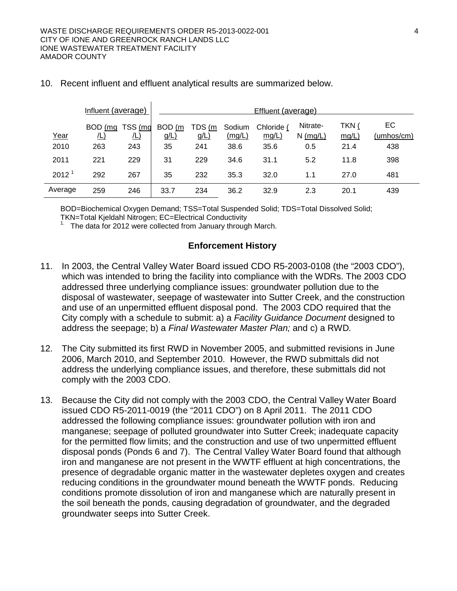$\mathbf{r}$ 

| Influent (average) |                       |              |                   | Effluent (average) |                  |                     |                        |                |                  |
|--------------------|-----------------------|--------------|-------------------|--------------------|------------------|---------------------|------------------------|----------------|------------------|
| Year               | BOD (mg<br><u>/L)</u> | TSS (mg<br>L | BOD (m<br>$g/L$ ) | TDS (m<br>$g/L$ )  | Sodium<br>(mg/L) | Chloride (<br>mg/L) | Nitrate-<br>$N$ (mg/L) | TKN (<br>mg/L) | EC<br>(umhos/cm) |
| 2010               | 263                   | 243          | 35                | 241                | 38.6             | 35.6                | 0.5                    | 21.4           | 438              |
| 2011               | 221                   | 229          | 31                | 229                | 34.6             | 31.1                | 5.2                    | 11.8           | 398              |
| 2012               | 292                   | 267          | 35                | 232                | 35.3             | 32.0                | 1.1                    | 27.0           | 481              |
| Average            | 259                   | 246          | 33.7              | 234                | 36.2             | 32.9                | 2.3                    | 20.1           | 439              |

#### 10. Recent influent and effluent analytical results are summarized below.

BOD=Biochemical Oxygen Demand; TSS=Total Suspended Solid; TDS=Total Dissolved Solid;<br>TKN=Total Kjeldahl Nitrogen; EC=Electrical Conductivity

 $1.$  The data for 2012 were collected from January through March.

#### **Enforcement History**

- 11. In 2003, the Central Valley Water Board issued CDO R5-2003-0108 (the "2003 CDO"), which was intended to bring the facility into compliance with the WDRs. The 2003 CDO addressed three underlying compliance issues: groundwater pollution due to the disposal of wastewater, seepage of wastewater into Sutter Creek, and the construction and use of an unpermitted effluent disposal pond. The 2003 CDO required that the City comply with a schedule to submit: a) a *Facility Guidance Document* designed to address the seepage; b) a *Final Wastewater Master Plan;* and c) a RWD*.*
- 12. The City submitted its first RWD in November 2005, and submitted revisions in June 2006, March 2010, and September 2010. However, the RWD submittals did not address the underlying compliance issues, and therefore, these submittals did not comply with the 2003 CDO.
- 13. Because the City did not comply with the 2003 CDO, the Central Valley Water Board issued CDO R5-2011-0019 (the "2011 CDO") on 8 April 2011. The 2011 CDO addressed the following compliance issues: groundwater pollution with iron and manganese; seepage of polluted groundwater into Sutter Creek; inadequate capacity for the permitted flow limits; and the construction and use of two unpermitted effluent disposal ponds (Ponds 6 and 7). The Central Valley Water Board found that although iron and manganese are not present in the WWTF effluent at high concentrations, the presence of degradable organic matter in the wastewater depletes oxygen and creates reducing conditions in the groundwater mound beneath the WWTF ponds. Reducing conditions promote dissolution of iron and manganese which are naturally present in the soil beneath the ponds, causing degradation of groundwater, and the degraded groundwater seeps into Sutter Creek.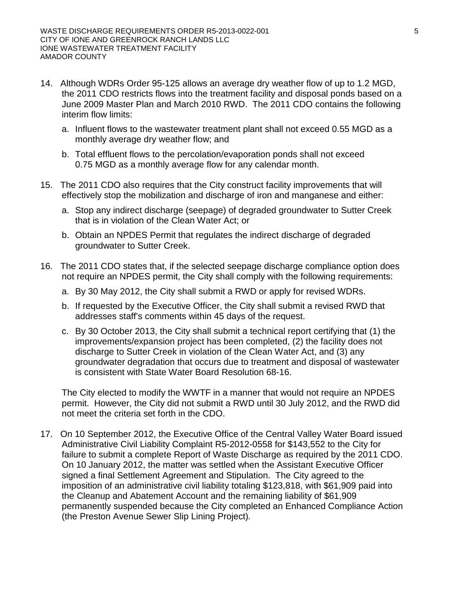- 14. Although WDRs Order 95-125 allows an average dry weather flow of up to 1.2 MGD, the 2011 CDO restricts flows into the treatment facility and disposal ponds based on a June 2009 Master Plan and March 2010 RWD. The 2011 CDO contains the following interim flow limits:
	- a. Influent flows to the wastewater treatment plant shall not exceed 0.55 MGD as a monthly average dry weather flow; and
	- b. Total effluent flows to the percolation/evaporation ponds shall not exceed 0.75 MGD as a monthly average flow for any calendar month.
- 15. The 2011 CDO also requires that the City construct facility improvements that will effectively stop the mobilization and discharge of iron and manganese and either:
	- a. Stop any indirect discharge (seepage) of degraded groundwater to Sutter Creek that is in violation of the Clean Water Act; or
	- b. Obtain an NPDES Permit that regulates the indirect discharge of degraded groundwater to Sutter Creek.
- 16. The 2011 CDO states that, if the selected seepage discharge compliance option does not require an NPDES permit, the City shall comply with the following requirements:
	- a. By 30 May 2012, the City shall submit a RWD or apply for revised WDRs.
	- b. If requested by the Executive Officer, the City shall submit a revised RWD that addresses staff's comments within 45 days of the request.
	- c. By 30 October 2013, the City shall submit a technical report certifying that (1) the improvements/expansion project has been completed, (2) the facility does not discharge to Sutter Creek in violation of the Clean Water Act, and (3) any groundwater degradation that occurs due to treatment and disposal of wastewater is consistent with State Water Board Resolution 68-16.

The City elected to modify the WWTF in a manner that would not require an NPDES permit. However, the City did not submit a RWD until 30 July 2012, and the RWD did not meet the criteria set forth in the CDO.

17. On 10 September 2012, the Executive Office of the Central Valley Water Board issued Administrative Civil Liability Complaint R5-2012-0558 for \$143,552 to the City for failure to submit a complete Report of Waste Discharge as required by the 2011 CDO. On 10 January 2012, the matter was settled when the Assistant Executive Officer signed a final Settlement Agreement and Stipulation. The City agreed to the imposition of an administrative civil liability totaling \$123,818, with \$61,909 paid into the Cleanup and Abatement Account and the remaining liability of \$61,909 permanently suspended because the City completed an Enhanced Compliance Action (the Preston Avenue Sewer Slip Lining Project)*.*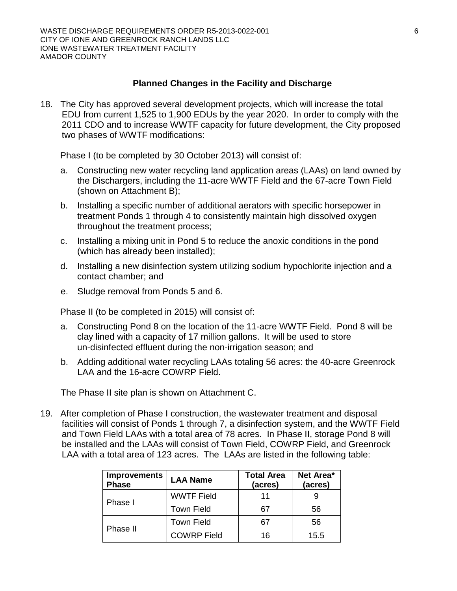#### **Planned Changes in the Facility and Discharge**

18. The City has approved several development projects, which will increase the total EDU from current 1,525 to 1,900 EDUs by the year 2020. In order to comply with the 2011 CDO and to increase WWTF capacity for future development, the City proposed two phases of WWTF modifications:

Phase I (to be completed by 30 October 2013) will consist of:

- a. Constructing new water recycling land application areas (LAAs) on land owned by the Dischargers, including the 11-acre WWTF Field and the 67-acre Town Field (shown on Attachment B);
- b. Installing a specific number of additional aerators with specific horsepower in treatment Ponds 1 through 4 to consistently maintain high dissolved oxygen throughout the treatment process;
- c. Installing a mixing unit in Pond 5 to reduce the anoxic conditions in the pond (which has already been installed);
- d. Installing a new disinfection system utilizing sodium hypochlorite injection and a contact chamber; and
- e. Sludge removal from Ponds 5 and 6.

Phase II (to be completed in 2015) will consist of:

- a. Constructing Pond 8 on the location of the 11-acre WWTF Field. Pond 8 will be clay lined with a capacity of 17 million gallons. It will be used to store un-disinfected effluent during the non-irrigation season; and
- b. Adding additional water recycling LAAs totaling 56 acres: the 40-acre Greenrock LAA and the 16-acre COWRP Field.

The Phase II site plan is shown on Attachment C.

19. After completion of Phase I construction, the wastewater treatment and disposal facilities will consist of Ponds 1 through 7, a disinfection system, and the WWTF Field and Town Field LAAs with a total area of 78 acres. In Phase II, storage Pond 8 will be installed and the LAAs will consist of Town Field, COWRP Field, and Greenrock LAA with a total area of 123 acres. The LAAs are listed in the following table:

| <b>Improvements</b><br><b>Phase</b> | <b>LAA Name</b>    | <b>Total Area</b><br>(acres) | Net Area*<br>(acres) |
|-------------------------------------|--------------------|------------------------------|----------------------|
| Phase I                             | <b>WWTF Field</b>  | 11                           |                      |
|                                     | <b>Town Field</b>  | 67                           | 56                   |
|                                     | <b>Town Field</b>  | 67                           | 56                   |
| Phase II                            | <b>COWRP Field</b> | 16                           | 15.5                 |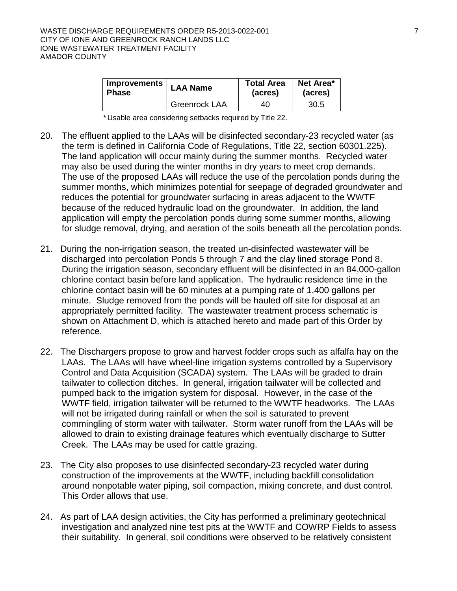| Improvements | <b>LAA Name</b> | <b>Total Area</b> | Net Area* |  |
|--------------|-----------------|-------------------|-----------|--|
| Phase        |                 | (acres)           | (acres)   |  |
|              | Greenrock LAA   | 40                | 30.5      |  |

\* Usable area considering setbacks required by Title 22.

- 20. The effluent applied to the LAAs will be disinfected secondary-23 recycled water (as the term is defined in California Code of Regulations, Title 22, section 60301.225). The land application will occur mainly during the summer months. Recycled water may also be used during the winter months in dry years to meet crop demands. The use of the proposed LAAs will reduce the use of the percolation ponds during the summer months, which minimizes potential for seepage of degraded groundwater and reduces the potential for groundwater surfacing in areas adjacent to the WWTF because of the reduced hydraulic load on the groundwater. In addition, the land application will empty the percolation ponds during some summer months, allowing for sludge removal, drying, and aeration of the soils beneath all the percolation ponds.
- 21. During the non-irrigation season, the treated un-disinfected wastewater will be discharged into percolation Ponds 5 through 7 and the clay lined storage Pond 8. During the irrigation season, secondary effluent will be disinfected in an 84,000-gallon chlorine contact basin before land application. The hydraulic residence time in the chlorine contact basin will be 60 minutes at a pumping rate of 1,400 gallons per minute. Sludge removed from the ponds will be hauled off site for disposal at an appropriately permitted facility. The wastewater treatment process schematic is shown on Attachment D, which is attached hereto and made part of this Order by reference.
- 22. The Dischargers propose to grow and harvest fodder crops such as alfalfa hay on the LAAs. The LAAs will have wheel-line irrigation systems controlled by a Supervisory Control and Data Acquisition (SCADA) system. The LAAs will be graded to drain tailwater to collection ditches. In general, irrigation tailwater will be collected and pumped back to the irrigation system for disposal. However, in the case of the WWTF field, irrigation tailwater will be returned to the WWTF headworks. The LAAs will not be irrigated during rainfall or when the soil is saturated to prevent commingling of storm water with tailwater. Storm water runoff from the LAAs will be allowed to drain to existing drainage features which eventually discharge to Sutter Creek. The LAAs may be used for cattle grazing.
- 23. The City also proposes to use disinfected secondary-23 recycled water during construction of the improvements at the WWTF, including backfill consolidation around nonpotable water piping, soil compaction, mixing concrete, and dust control. This Order allows that use.
- 24. As part of LAA design activities, the City has performed a preliminary geotechnical investigation and analyzed nine test pits at the WWTF and COWRP Fields to assess their suitability. In general, soil conditions were observed to be relatively consistent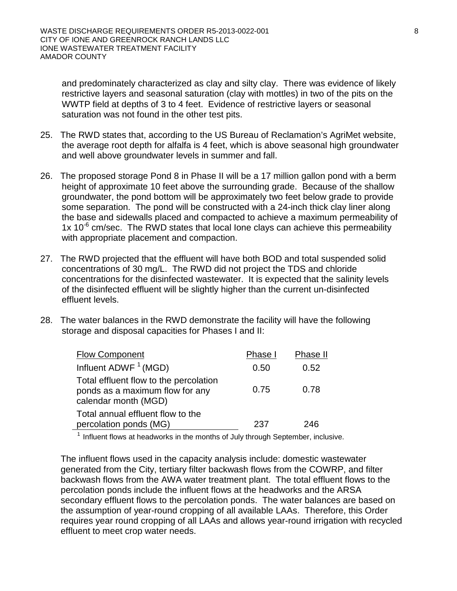and predominately characterized as clay and silty clay. There was evidence of likely restrictive layers and seasonal saturation (clay with mottles) in two of the pits on the WWTP field at depths of 3 to 4 feet. Evidence of restrictive layers or seasonal saturation was not found in the other test pits.

- 25. The RWD states that, according to the US Bureau of Reclamation's AgriMet website, the average root depth for alfalfa is 4 feet, which is above seasonal high groundwater and well above groundwater levels in summer and fall.
- 26. The proposed storage Pond 8 in Phase II will be a 17 million gallon pond with a berm height of approximate 10 feet above the surrounding grade. Because of the shallow groundwater, the pond bottom will be approximately two feet below grade to provide some separation. The pond will be constructed with a 24-inch thick clay liner along the base and sidewalls placed and compacted to achieve a maximum permeability of 1x 10 $<sup>6</sup>$  cm/sec. The RWD states that local lone clays can achieve this permeability</sup> with appropriate placement and compaction.
- 27. The RWD projected that the effluent will have both BOD and total suspended solid concentrations of 30 mg/L. The RWD did not project the TDS and chloride concentrations for the disinfected wastewater. It is expected that the salinity levels of the disinfected effluent will be slightly higher than the current un-disinfected effluent levels.
- 28. The water balances in the RWD demonstrate the facility will have the following storage and disposal capacities for Phases I and II:

| <b>Flow Component</b>                                                                             | Phase I | Phase II |
|---------------------------------------------------------------------------------------------------|---------|----------|
| Influent ADWF $1$ (MGD)                                                                           | 0.50    | 0.52     |
| Total effluent flow to the percolation<br>ponds as a maximum flow for any<br>calendar month (MGD) | 0.75    | 0.78     |
| Total annual effluent flow to the<br>percolation ponds (MG)                                       | 237     | 246      |

 $1$  Influent flows at headworks in the months of July through September, inclusive.

The influent flows used in the capacity analysis include: domestic wastewater generated from the City, tertiary filter backwash flows from the COWRP, and filter backwash flows from the AWA water treatment plant. The total effluent flows to the percolation ponds include the influent flows at the headworks and the ARSA secondary effluent flows to the percolation ponds. The water balances are based on the assumption of year-round cropping of all available LAAs. Therefore, this Order requires year round cropping of all LAAs and allows year-round irrigation with recycled effluent to meet crop water needs.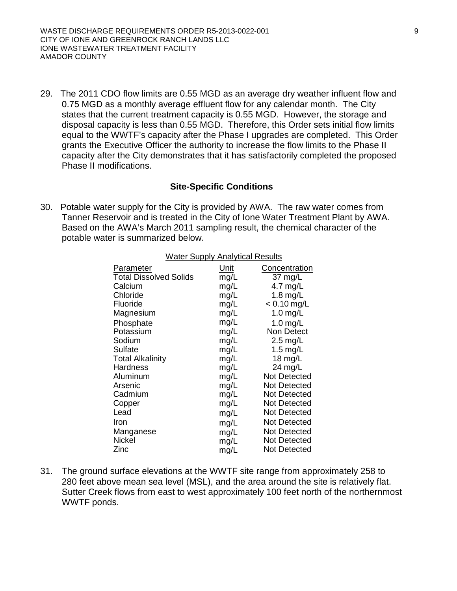29. The 2011 CDO flow limits are 0.55 MGD as an average dry weather influent flow and 0.75 MGD as a monthly average effluent flow for any calendar month. The City states that the current treatment capacity is 0.55 MGD. However, the storage and disposal capacity is less than 0.55 MGD. Therefore, this Order sets initial flow limits equal to the WWTF's capacity after the Phase I upgrades are completed. This Order grants the Executive Officer the authority to increase the flow limits to the Phase II capacity after the City demonstrates that it has satisfactorily completed the proposed Phase II modifications.

# **Site-Specific Conditions**

30. Potable water supply for the City is provided by AWA. The raw water comes from Tanner Reservoir and is treated in the City of Ione Water Treatment Plant by AWA. Based on the AWA's March 2011 sampling result, the chemical character of the potable water is summarized below. j

| <b>Water Supply Analytical Results</b> |      |                     |  |  |  |
|----------------------------------------|------|---------------------|--|--|--|
| Parameter                              | Unit | Concentration       |  |  |  |
| <b>Total Dissolved Solids</b>          | mg/L | 37 mg/L             |  |  |  |
| Calcium                                | mg/L | 4.7 $mg/L$          |  |  |  |
| Chloride                               | mg/L | 1.8 mg/L            |  |  |  |
| Fluoride                               | mg/L | $< 0.10$ mg/L       |  |  |  |
| Magnesium                              | mg/L | 1.0 $mg/L$          |  |  |  |
| Phosphate                              | mg/L | $1.0$ mg/L          |  |  |  |
| Potassium                              | mg/L | <b>Non Detect</b>   |  |  |  |
| Sodium                                 | mg/L | $2.5 \text{ mg/L}$  |  |  |  |
| Sulfate                                | mg/L | $1.5$ mg/L          |  |  |  |
| <b>Total Alkalinity</b>                | mg/L | 18 $mg/L$           |  |  |  |
| Hardness                               | mg/L | $24$ mg/L           |  |  |  |
| Aluminum                               | mg/L | <b>Not Detected</b> |  |  |  |
| Arsenic                                | mg/L | Not Detected        |  |  |  |
| Cadmium                                | mg/L | <b>Not Detected</b> |  |  |  |
| Copper                                 | mg/L | Not Detected        |  |  |  |
| Lead                                   | mg/L | Not Detected        |  |  |  |
| Iron                                   | mg/L | Not Detected        |  |  |  |
| Manganese                              | mg/L | <b>Not Detected</b> |  |  |  |
| Nickel                                 | mg/L | Not Detected        |  |  |  |
| Zinc                                   | mg/L | <b>Not Detected</b> |  |  |  |

31. The ground surface elevations at the WWTF site range from approximately 258 to 280 feet above mean sea level (MSL), and the area around the site is relatively flat. Sutter Creek flows from east to west approximately 100 feet north of the northernmost WWTF ponds.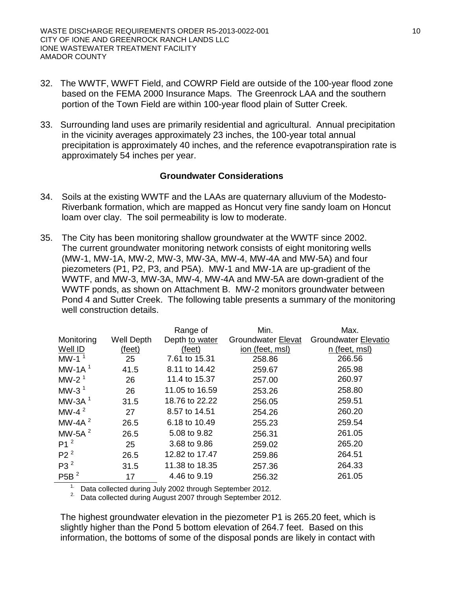- 32. The WWTF, WWFT Field, and COWRP Field are outside of the 100-year flood zone based on the FEMA 2000 Insurance Maps. The Greenrock LAA and the southern portion of the Town Field are within 100-year flood plain of Sutter Creek.
- 33. Surrounding land uses are primarily residential and agricultural. Annual precipitation in the vicinity averages approximately 23 inches, the 100-year total annual precipitation is approximately 40 inches, and the reference evapotranspiration rate is approximately 54 inches per year.

#### **Groundwater Considerations**

- 34. Soils at the existing WWTF and the LAAs are quaternary alluvium of the Modesto-Riverbank formation, which are mapped as Honcut very fine sandy loam on Honcut loam over clay. The soil permeability is low to moderate.
- 35. The City has been monitoring shallow groundwater at the WWTF since 2002. The current groundwater monitoring network consists of eight monitoring wells (MW-1, MW-1A, MW-2, MW-3, MW-3A, MW-4, MW-4A and MW-5A) and four piezometers (P1, P2, P3, and P5A). MW-1 and MW-1A are up-gradient of the WWTF, and MW-3, MW-3A, MW-4, MW-4A and MW-5A are down-gradient of the WWTF ponds, as shown on Attachment B. MW-2 monitors groundwater between Pond 4 and Sutter Creek. The following table presents a summary of the monitoring well construction details.

|                  |                   | Range of       | Min.                      | Max.                        |
|------------------|-------------------|----------------|---------------------------|-----------------------------|
| Monitoring       | <b>Well Depth</b> | Depth to water | <b>Groundwater Elevat</b> | <b>Groundwater Elevatio</b> |
| Well ID          | (feet)            | (feet)         | ion (feet, msl)           | n (feet, msl)               |
| MW-1 $1$         | 25                | 7.61 to 15.31  | 258.86                    | 266.56                      |
| MW-1A $1$        | 41.5              | 8.11 to 14.42  | 259.67                    | 265.98                      |
| MW-2 $1$         | 26                | 11.4 to 15.37  | 257.00                    | 260.97                      |
| MW-3 $1$         | 26                | 11.05 to 16.59 | 253.26                    | 258.80                      |
| MW-3A $1$        | 31.5              | 18.76 to 22.22 | 256.05                    | 259.51                      |
| MW-4 $^2$        | 27                | 8.57 to 14.51  | 254.26                    | 260.20                      |
| MW-4A $^2$       | 26.5              | 6.18 to 10.49  | 255.23                    | 259.54                      |
| MW-5A $^2$       | 26.5              | 5.08 to 9.82   | 256.31                    | 261.05                      |
| P1 <sup>2</sup>  | 25                | 3.68 to 9.86   | 259.02                    | 265.20                      |
| P2 <sup>2</sup>  | 26.5              | 12.82 to 17.47 | 259.86                    | 264.51                      |
| P3 <sup>2</sup>  | 31.5              | 11.38 to 18.35 | 257.36                    | 264.33                      |
| P5B <sup>2</sup> | 17                | 4.46 to 9.19   | 256.32                    | 261.05                      |

<sup>1.</sup> Data collected during July 2002 through September 2012.<br><sup>2.</sup> Data collected during August 2007 through September 2012.

The highest groundwater elevation in the piezometer P1 is 265.20 feet, which is slightly higher than the Pond 5 bottom elevation of 264.7 feet. Based on this information, the bottoms of some of the disposal ponds are likely in contact with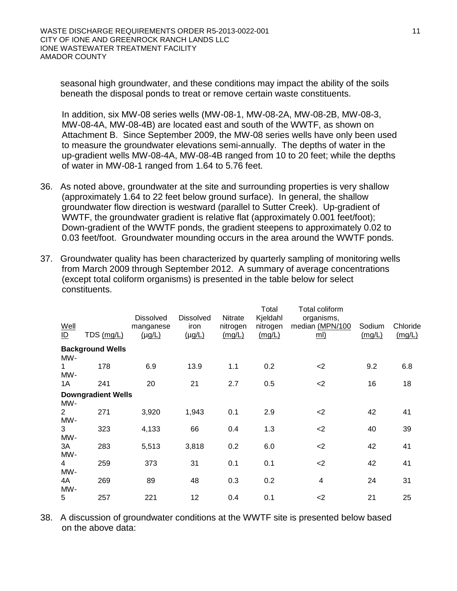seasonal high groundwater, and these conditions may impact the ability of the soils beneath the disposal ponds to treat or remove certain waste constituents.

In addition, six MW-08 series wells (MW-08-1, MW-08-2A, MW-08-2B, MW-08-3, MW-08-4A, MW-08-4B) are located east and south of the WWTF, as shown on Attachment B. Since September 2009, the MW-08 series wells have only been used to measure the groundwater elevations semi-annually. The depths of water in the up-gradient wells MW-08-4A, MW-08-4B ranged from 10 to 20 feet; while the depths of water in MW-08-1 ranged from 1.64 to 5.76 feet.

- 36. As noted above, groundwater at the site and surrounding properties is very shallow (approximately 1.64 to 22 feet below ground surface). In general, the shallow groundwater flow direction is westward (parallel to Sutter Creek). Up-gradient of WWTF, the groundwater gradient is relative flat (approximately 0.001 feet/foot); Down-gradient of the WWTF ponds, the gradient steepens to approximately 0.02 to 0.03 feet/foot. Groundwater mounding occurs in the area around the WWTF ponds.
- 37. Groundwater quality has been characterized by quarterly sampling of monitoring wells from March 2009 through September 2012. A summary of average concentrations (except total coliform organisms) is presented in the table below for select constituents.

| Well<br>ID            | TDS (mg/L)                | <b>Dissolved</b><br>manganese<br>$(\mu g/L)$ | <b>Dissolved</b><br>iron<br>$(\mu g/L)$ | Nitrate<br>nitrogen<br>(mg/L) | Total<br>Kjeldahl<br>nitrogen<br>(mg/L) | Total coliform<br>organisms,<br>median (MPN/100<br><u>ml)</u> | Sodium<br>(mg/L) | Chloride<br>(mg/L) |
|-----------------------|---------------------------|----------------------------------------------|-----------------------------------------|-------------------------------|-----------------------------------------|---------------------------------------------------------------|------------------|--------------------|
| MW-                   | <b>Background Wells</b>   |                                              |                                         |                               |                                         |                                                               |                  |                    |
| MW-                   | 178                       | 6.9                                          | 13.9                                    | 1.1                           | 0.2                                     | $<$ 2                                                         | 9.2              | 6.8                |
| 1A                    | 241                       | 20                                           | 21                                      | 2.7                           | 0.5                                     | $<$ 2                                                         | 16               | 18                 |
| MW-                   | <b>Downgradient Wells</b> |                                              |                                         |                               |                                         |                                                               |                  |                    |
| $\overline{2}$<br>MW- | 271                       | 3,920                                        | 1,943                                   | 0.1                           | 2.9                                     | $<$ 2                                                         | 42               | 41                 |
| 3<br>MW-              | 323                       | 4,133                                        | 66                                      | 0.4                           | 1.3                                     | $<$ 2                                                         | 40               | 39                 |
| 3A<br>MW-             | 283                       | 5,513                                        | 3,818                                   | 0.2                           | 6.0                                     | $<$ 2                                                         | 42               | 41                 |
| 4<br>MW-              | 259                       | 373                                          | 31                                      | 0.1                           | 0.1                                     | $<$ 2                                                         | 42               | 41                 |
| 4A<br>MW-             | 269                       | 89                                           | 48                                      | 0.3                           | 0.2                                     | 4                                                             | 24               | 31                 |
| 5                     | 257                       | 221                                          | 12                                      | 0.4                           | 0.1                                     | $<$ 2                                                         | 21               | 25                 |

38. A discussion of groundwater conditions at the WWTF site is presented below based on the above data: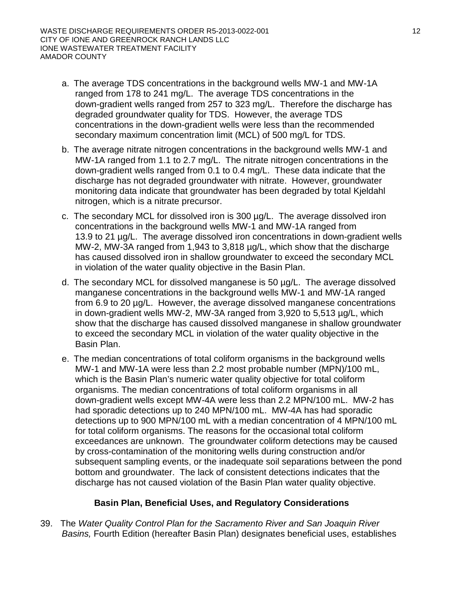- a. The average TDS concentrations in the background wells MW-1 and MW-1A ranged from 178 to 241 mg/L. The average TDS concentrations in the down-gradient wells ranged from 257 to 323 mg/L. Therefore the discharge has degraded groundwater quality for TDS. However, the average TDS concentrations in the down-gradient wells were less than the recommended secondary maximum concentration limit (MCL) of 500 mg/L for TDS.
- b. The average nitrate nitrogen concentrations in the background wells MW-1 and MW-1A ranged from 1.1 to 2.7 mg/L. The nitrate nitrogen concentrations in the down-gradient wells ranged from 0.1 to 0.4 mg/L. These data indicate that the discharge has not degraded groundwater with nitrate. However, groundwater monitoring data indicate that groundwater has been degraded by total Kjeldahl nitrogen, which is a nitrate precursor.
- c. The secondary MCL for dissolved iron is 300 µg/L. The average dissolved iron concentrations in the background wells MW-1 and MW-1A ranged from 13.9 to 21 µg/L. The average dissolved iron concentrations in down-gradient wells MW-2, MW-3A ranged from 1,943 to 3,818 µg/L, which show that the discharge has caused dissolved iron in shallow groundwater to exceed the secondary MCL in violation of the water quality objective in the Basin Plan.
- d. The secondary MCL for dissolved manganese is 50 µg/L. The average dissolved manganese concentrations in the background wells MW-1 and MW-1A ranged from 6.9 to 20 µg/L. However, the average dissolved manganese concentrations in down-gradient wells MW-2, MW-3A ranged from 3,920 to 5,513 µg/L, which show that the discharge has caused dissolved manganese in shallow groundwater to exceed the secondary MCL in violation of the water quality objective in the Basin Plan.
- e. The median concentrations of total coliform organisms in the background wells MW-1 and MW-1A were less than 2.2 most probable number (MPN)/100 mL, which is the Basin Plan's numeric water quality objective for total coliform organisms. The median concentrations of total coliform organisms in all down-gradient wells except MW-4A were less than 2.2 MPN/100 mL. MW-2 has had sporadic detections up to 240 MPN/100 mL. MW-4A has had sporadic detections up to 900 MPN/100 mL with a median concentration of 4 MPN/100 mL for total coliform organisms. The reasons for the occasional total coliform exceedances are unknown. The groundwater coliform detections may be caused by cross-contamination of the monitoring wells during construction and/or subsequent sampling events, or the inadequate soil separations between the pond bottom and groundwater. The lack of consistent detections indicates that the discharge has not caused violation of the Basin Plan water quality objective.

# **Basin Plan, Beneficial Uses, and Regulatory Considerations**

39. The *Water Quality Control Plan for the Sacramento River and San Joaquin River Basins,* Fourth Edition (hereafter Basin Plan) designates beneficial uses, establishes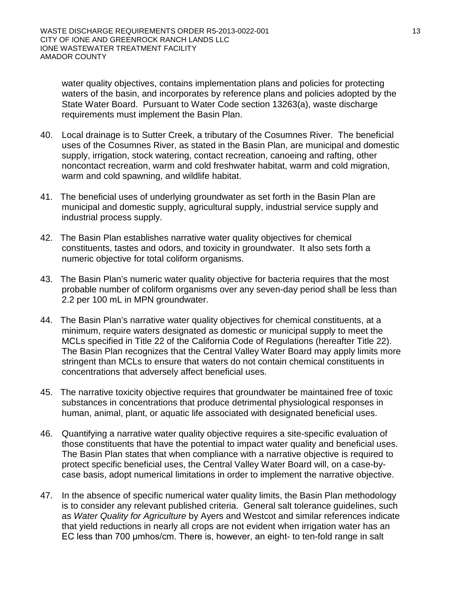water quality objectives, contains implementation plans and policies for protecting waters of the basin, and incorporates by reference plans and policies adopted by the State Water Board. Pursuant to Water Code section 13263(a), waste discharge requirements must implement the Basin Plan.

- 40. Local drainage is to Sutter Creek, a tributary of the Cosumnes River. The beneficial uses of the Cosumnes River, as stated in the Basin Plan, are municipal and domestic supply, irrigation, stock watering, contact recreation, canoeing and rafting, other noncontact recreation, warm and cold freshwater habitat, warm and cold migration, warm and cold spawning, and wildlife habitat.
- 41. The beneficial uses of underlying groundwater as set forth in the Basin Plan are municipal and domestic supply, agricultural supply, industrial service supply and industrial process supply.
- 42. The Basin Plan establishes narrative water quality objectives for chemical constituents, tastes and odors, and toxicity in groundwater. It also sets forth a numeric objective for total coliform organisms.
- 43. The Basin Plan's numeric water quality objective for bacteria requires that the most probable number of coliform organisms over any seven-day period shall be less than 2.2 per 100 mL in MPN groundwater.
- 44. The Basin Plan's narrative water quality objectives for chemical constituents, at a minimum, require waters designated as domestic or municipal supply to meet the MCLs specified in Title 22 of the California Code of Regulations (hereafter Title 22). The Basin Plan recognizes that the Central Valley Water Board may apply limits more stringent than MCLs to ensure that waters do not contain chemical constituents in concentrations that adversely affect beneficial uses.
- 45. The narrative toxicity objective requires that groundwater be maintained free of toxic substances in concentrations that produce detrimental physiological responses in human, animal, plant, or aquatic life associated with designated beneficial uses.
- 46. Quantifying a narrative water quality objective requires a site-specific evaluation of those constituents that have the potential to impact water quality and beneficial uses. The Basin Plan states that when compliance with a narrative objective is required to protect specific beneficial uses, the Central Valley Water Board will, on a case-bycase basis, adopt numerical limitations in order to implement the narrative objective.
- 47. In the absence of specific numerical water quality limits, the Basin Plan methodology is to consider any relevant published criteria. General salt tolerance guidelines, such as *Water Quality for Agriculture* by Ayers and Westcot and similar references indicate that yield reductions in nearly all crops are not evident when irrigation water has an EC less than 700 μmhos/cm. There is, however, an eight- to ten-fold range in salt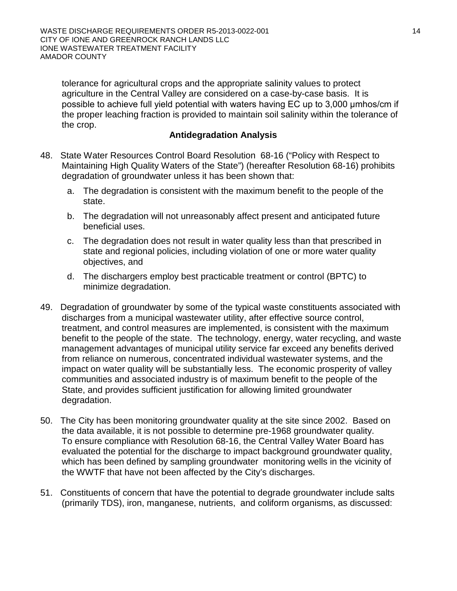tolerance for agricultural crops and the appropriate salinity values to protect agriculture in the Central Valley are considered on a case-by-case basis. It is possible to achieve full yield potential with waters having EC up to 3,000 μmhos/cm if the proper leaching fraction is provided to maintain soil salinity within the tolerance of the crop.

# **Antidegradation Analysis**

- 48. State Water Resources Control Board Resolution 68-16 ("Policy with Respect to Maintaining High Quality Waters of the State") (hereafter Resolution 68-16) prohibits degradation of groundwater unless it has been shown that:
	- a. The degradation is consistent with the maximum benefit to the people of the state.
	- b. The degradation will not unreasonably affect present and anticipated future beneficial uses.
	- c. The degradation does not result in water quality less than that prescribed in state and regional policies, including violation of one or more water quality objectives, and
	- d. The dischargers employ best practicable treatment or control (BPTC) to minimize degradation.
- 49. Degradation of groundwater by some of the typical waste constituents associated with discharges from a municipal wastewater utility, after effective source control, treatment, and control measures are implemented, is consistent with the maximum benefit to the people of the state. The technology, energy, water recycling, and waste management advantages of municipal utility service far exceed any benefits derived from reliance on numerous, concentrated individual wastewater systems, and the impact on water quality will be substantially less. The economic prosperity of valley communities and associated industry is of maximum benefit to the people of the State, and provides sufficient justification for allowing limited groundwater degradation.
- 50. The City has been monitoring groundwater quality at the site since 2002. Based on the data available, it is not possible to determine pre-1968 groundwater quality. To ensure compliance with Resolution 68-16, the Central Valley Water Board has evaluated the potential for the discharge to impact background groundwater quality, which has been defined by sampling groundwater monitoring wells in the vicinity of the WWTF that have not been affected by the City's discharges.
- 51. Constituents of concern that have the potential to degrade groundwater include salts (primarily TDS), iron, manganese, nutrients, and coliform organisms, as discussed: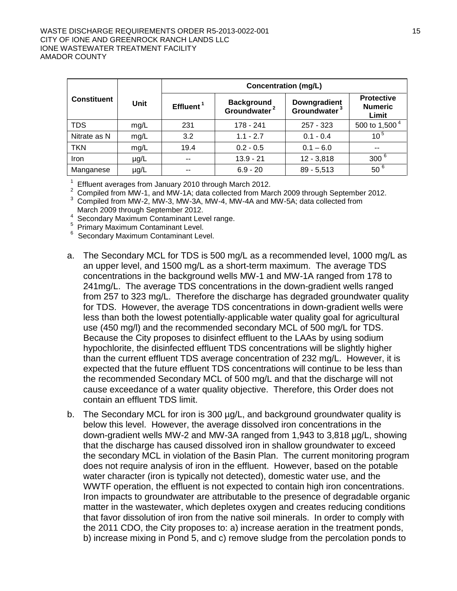#### WASTE DISCHARGE REQUIREMENTS ORDER R5-2013-0022-001 15 15 CITY OF IONE AND GREENROCK RANCH LANDS LLC IONE WASTEWATER TREATMENT FACILITY AMADOR COUNTY

|                    |           | <b>Concentration (mg/L)</b> |                                               |                                          |                                              |
|--------------------|-----------|-----------------------------|-----------------------------------------------|------------------------------------------|----------------------------------------------|
| <b>Constituent</b> | Unit      | Effluent <sup>1</sup>       | <b>Background</b><br>Groundwater <sup>2</sup> | Downgradient<br>Groundwater <sup>3</sup> | <b>Protective</b><br><b>Numeric</b><br>Limit |
| <b>TDS</b>         | mg/L      | 231                         | 178 - 241                                     | 257 - 323                                | 500 to 1,500 $^4$                            |
| Nitrate as N       | mg/L      | 3.2                         | $1.1 - 2.7$                                   | $0.1 - 0.4$                              | $10^{5}$                                     |
| <b>TKN</b>         | mg/L      | 19.4                        | $0.2 - 0.5$                                   | $0.1 - 6.0$                              | $\sim$ $\sim$                                |
| Iron               | $\mu$ g/L | $- -$                       | $13.9 - 21$                                   | $12 - 3,818$                             | 300 <sup>6</sup>                             |
| Manganese          | µg/L      | $- -$                       | $6.9 - 20$                                    | $89 - 5,513$                             | 50 <sup>6</sup>                              |

<sup>1</sup> Effluent averages from January 2010 through March 2012.<br>
<sup>2</sup> Compiled from MW-1, and MW-1A; data collected from March 2009 through September 2012.<br>
<sup>3</sup> Compiled from MW-2, MW-3, MW-3A, MW-4, MW-4A and MW-5A; data coll

 $4$  Secondary Maximum Contaminant Level range.<br>  $5$  Primary Maximum Contaminant Level.<br>  $6$  Secondary Maximum Contaminant Level.

- a. The Secondary MCL for TDS is 500 mg/L as a recommended level, 1000 mg/L as an upper level, and 1500 mg/L as a short-term maximum. The average TDS concentrations in the background wells MW-1 and MW-1A ranged from 178 to 241mg/L. The average TDS concentrations in the down-gradient wells ranged from 257 to 323 mg/L. Therefore the discharge has degraded groundwater quality for TDS. However, the average TDS concentrations in down-gradient wells were less than both the lowest potentially-applicable water quality goal for agricultural use (450 mg/l) and the recommended secondary MCL of 500 mg/L for TDS. Because the City proposes to disinfect effluent to the LAAs by using sodium hypochlorite, the disinfected effluent TDS concentrations will be slightly higher than the current effluent TDS average concentration of 232 mg/L. However, it is expected that the future effluent TDS concentrations will continue to be less than the recommended Secondary MCL of 500 mg/L and that the discharge will not cause exceedance of a water quality objective. Therefore, this Order does not contain an effluent TDS limit.
- b. The Secondary MCL for iron is 300 µg/L, and background groundwater quality is below this level. However, the average dissolved iron concentrations in the down-gradient wells MW-2 and MW-3A ranged from 1,943 to 3,818 µg/L, showing that the discharge has caused dissolved iron in shallow groundwater to exceed the secondary MCL in violation of the Basin Plan. The current monitoring program does not require analysis of iron in the effluent. However, based on the potable water character (iron is typically not detected), domestic water use, and the WWTF operation, the effluent is not expected to contain high iron concentrations. Iron impacts to groundwater are attributable to the presence of degradable organic matter in the wastewater, which depletes oxygen and creates reducing conditions that favor dissolution of iron from the native soil minerals. In order to comply with the 2011 CDO, the City proposes to: a) increase aeration in the treatment ponds, b) increase mixing in Pond 5, and c) remove sludge from the percolation ponds to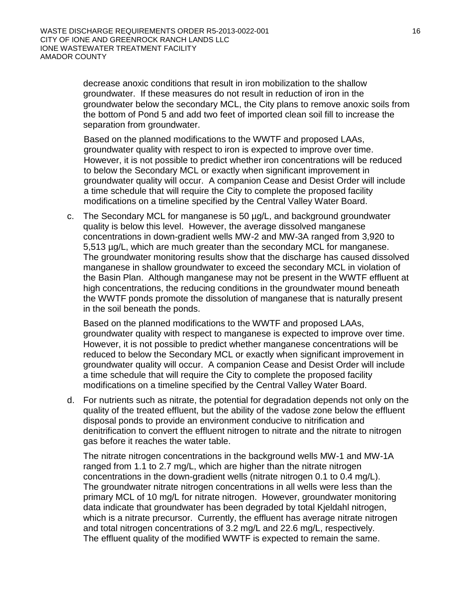decrease anoxic conditions that result in iron mobilization to the shallow groundwater. If these measures do not result in reduction of iron in the groundwater below the secondary MCL, the City plans to remove anoxic soils from the bottom of Pond 5 and add two feet of imported clean soil fill to increase the separation from groundwater.

Based on the planned modifications to the WWTF and proposed LAAs, groundwater quality with respect to iron is expected to improve over time. However, it is not possible to predict whether iron concentrations will be reduced to below the Secondary MCL or exactly when significant improvement in groundwater quality will occur. A companion Cease and Desist Order will include a time schedule that will require the City to complete the proposed facility modifications on a timeline specified by the Central Valley Water Board.

c. The Secondary MCL for manganese is 50 µg/L, and background groundwater quality is below this level. However, the average dissolved manganese concentrations in down-gradient wells MW-2 and MW-3A ranged from 3,920 to 5,513 µg/L, which are much greater than the secondary MCL for manganese. The groundwater monitoring results show that the discharge has caused dissolved manganese in shallow groundwater to exceed the secondary MCL in violation of the Basin Plan. Although manganese may not be present in the WWTF effluent at high concentrations, the reducing conditions in the groundwater mound beneath the WWTF ponds promote the dissolution of manganese that is naturally present in the soil beneath the ponds.

Based on the planned modifications to the WWTF and proposed LAAs, groundwater quality with respect to manganese is expected to improve over time. However, it is not possible to predict whether manganese concentrations will be reduced to below the Secondary MCL or exactly when significant improvement in groundwater quality will occur. A companion Cease and Desist Order will include a time schedule that will require the City to complete the proposed facility modifications on a timeline specified by the Central Valley Water Board.

d. For nutrients such as nitrate, the potential for degradation depends not only on the quality of the treated effluent, but the ability of the vadose zone below the effluent disposal ponds to provide an environment conducive to nitrification and denitrification to convert the effluent nitrogen to nitrate and the nitrate to nitrogen gas before it reaches the water table.

The nitrate nitrogen concentrations in the background wells MW-1 and MW-1A ranged from 1.1 to 2.7 mg/L, which are higher than the nitrate nitrogen concentrations in the down-gradient wells (nitrate nitrogen 0.1 to 0.4 mg/L). The groundwater nitrate nitrogen concentrations in all wells were less than the primary MCL of 10 mg/L for nitrate nitrogen. However, groundwater monitoring data indicate that groundwater has been degraded by total Kjeldahl nitrogen, which is a nitrate precursor. Currently, the effluent has average nitrate nitrogen and total nitrogen concentrations of 3.2 mg/L and 22.6 mg/L, respectively. The effluent quality of the modified WWTF is expected to remain the same.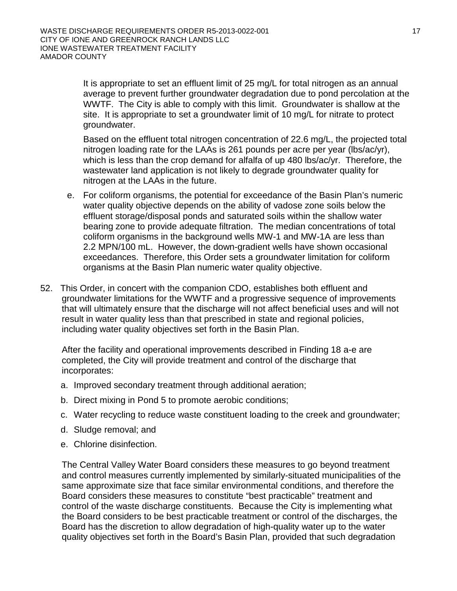It is appropriate to set an effluent limit of 25 mg/L for total nitrogen as an annual average to prevent further groundwater degradation due to pond percolation at the WWTF. The City is able to comply with this limit. Groundwater is shallow at the site. It is appropriate to set a groundwater limit of 10 mg/L for nitrate to protect groundwater.

Based on the effluent total nitrogen concentration of 22.6 mg/L, the projected total nitrogen loading rate for the LAAs is 261 pounds per acre per year (lbs/ac/yr), which is less than the crop demand for alfalfa of up 480 lbs/ac/yr. Therefore, the wastewater land application is not likely to degrade groundwater quality for nitrogen at the LAAs in the future.

- e. For coliform organisms, the potential for exceedance of the Basin Plan's numeric water quality objective depends on the ability of vadose zone soils below the effluent storage/disposal ponds and saturated soils within the shallow water bearing zone to provide adequate filtration. The median concentrations of total coliform organisms in the background wells MW-1 and MW-1A are less than 2.2 MPN/100 mL. However, the down-gradient wells have shown occasional exceedances. Therefore, this Order sets a groundwater limitation for coliform organisms at the Basin Plan numeric water quality objective.
- 52. This Order, in concert with the companion CDO, establishes both effluent and groundwater limitations for the WWTF and a progressive sequence of improvements that will ultimately ensure that the discharge will not affect beneficial uses and will not result in water quality less than that prescribed in state and regional policies, including water quality objectives set forth in the Basin Plan.

After the facility and operational improvements described in Finding 18 a-e are completed, the City will provide treatment and control of the discharge that incorporates:

- a. Improved secondary treatment through additional aeration;
- b. Direct mixing in Pond 5 to promote aerobic conditions;
- c. Water recycling to reduce waste constituent loading to the creek and groundwater;
- d. Sludge removal; and
- e. Chlorine disinfection.

The Central Valley Water Board considers these measures to go beyond treatment and control measures currently implemented by similarly-situated municipalities of the same approximate size that face similar environmental conditions, and therefore the Board considers these measures to constitute "best practicable" treatment and control of the waste discharge constituents. Because the City is implementing what the Board considers to be best practicable treatment or control of the discharges, the Board has the discretion to allow degradation of high-quality water up to the water quality objectives set forth in the Board's Basin Plan, provided that such degradation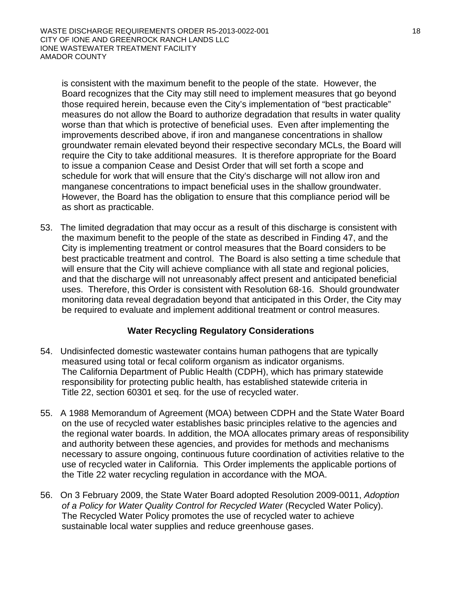is consistent with the maximum benefit to the people of the state. However, the Board recognizes that the City may still need to implement measures that go beyond those required herein, because even the City's implementation of "best practicable" measures do not allow the Board to authorize degradation that results in water quality worse than that which is protective of beneficial uses. Even after implementing the improvements described above, if iron and manganese concentrations in shallow groundwater remain elevated beyond their respective secondary MCLs, the Board will require the City to take additional measures. It is therefore appropriate for the Board to issue a companion Cease and Desist Order that will set forth a scope and schedule for work that will ensure that the City's discharge will not allow iron and manganese concentrations to impact beneficial uses in the shallow groundwater. However, the Board has the obligation to ensure that this compliance period will be as short as practicable.

53. The limited degradation that may occur as a result of this discharge is consistent with the maximum benefit to the people of the state as described in Finding 47, and the City is implementing treatment or control measures that the Board considers to be best practicable treatment and control. The Board is also setting a time schedule that will ensure that the City will achieve compliance with all state and regional policies, and that the discharge will not unreasonably affect present and anticipated beneficial uses. Therefore, this Order is consistent with Resolution 68-16. Should groundwater monitoring data reveal degradation beyond that anticipated in this Order, the City may be required to evaluate and implement additional treatment or control measures.

# **Water Recycling Regulatory Considerations**

- 54. Undisinfected domestic wastewater contains human pathogens that are typically measured using total or fecal coliform organism as indicator organisms. The California Department of Public Health (CDPH), which has primary statewide responsibility for protecting public health, has established statewide criteria in Title 22, section 60301 et seq. for the use of recycled water.
- 55. A 1988 Memorandum of Agreement (MOA) between CDPH and the State Water Board on the use of recycled water establishes basic principles relative to the agencies and the regional water boards. In addition, the MOA allocates primary areas of responsibility and authority between these agencies, and provides for methods and mechanisms necessary to assure ongoing, continuous future coordination of activities relative to the use of recycled water in California. This Order implements the applicable portions of the Title 22 water recycling regulation in accordance with the MOA.
- 56. On 3 February 2009, the State Water Board adopted Resolution 2009-0011, *Adoption of a Policy for Water Quality Control for Recycled Water* (Recycled Water Policy). The Recycled Water Policy promotes the use of recycled water to achieve sustainable local water supplies and reduce greenhouse gases.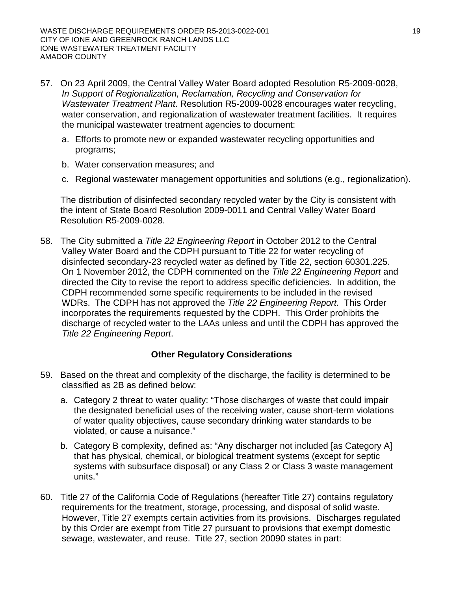- 57. On 23 April 2009, the Central Valley Water Board adopted Resolution R5-2009-0028, *In Support of Regionalization, Reclamation, Recycling and Conservation for Wastewater Treatment Plant*. Resolution R5-2009-0028 encourages water recycling, water conservation, and regionalization of wastewater treatment facilities. It requires the municipal wastewater treatment agencies to document:
	- a. Efforts to promote new or expanded wastewater recycling opportunities and programs;
	- b. Water conservation measures; and
	- c. Regional wastewater management opportunities and solutions (e.g., regionalization).

The distribution of disinfected secondary recycled water by the City is consistent with the intent of State Board Resolution 2009-0011 and Central Valley Water Board Resolution R5-2009-0028.

58. The City submitted a *Title 22 Engineering Report* in October 2012 to the Central Valley Water Board and the CDPH pursuant to Title 22 for water recycling of disinfected secondary-23 recycled water as defined by Title 22, section 60301.225. On 1 November 2012, the CDPH commented on the *Title 22 Engineering Report* and directed the City to revise the report to address specific deficiencies*.* In addition, the CDPH recommended some specific requirements to be included in the revised WDRs. The CDPH has not approved the *Title 22 Engineering Report.* This Order incorporates the requirements requested by the CDPH. This Order prohibits the discharge of recycled water to the LAAs unless and until the CDPH has approved the *Title 22 Engineering Report*.

# **Other Regulatory Considerations**

- 59. Based on the threat and complexity of the discharge, the facility is determined to be classified as 2B as defined below:
	- a. Category 2 threat to water quality: "Those discharges of waste that could impair the designated beneficial uses of the receiving water, cause short-term violations of water quality objectives, cause secondary drinking water standards to be violated, or cause a nuisance."
	- b. Category B complexity, defined as: "Any discharger not included [as Category A] that has physical, chemical, or biological treatment systems (except for septic systems with subsurface disposal) or any Class 2 or Class 3 waste management units."
- 60. Title 27 of the California Code of Regulations (hereafter Title 27) contains regulatory requirements for the treatment, storage, processing, and disposal of solid waste. However, Title 27 exempts certain activities from its provisions. Discharges regulated by this Order are exempt from Title 27 pursuant to provisions that exempt domestic sewage, wastewater, and reuse. Title 27, section 20090 states in part: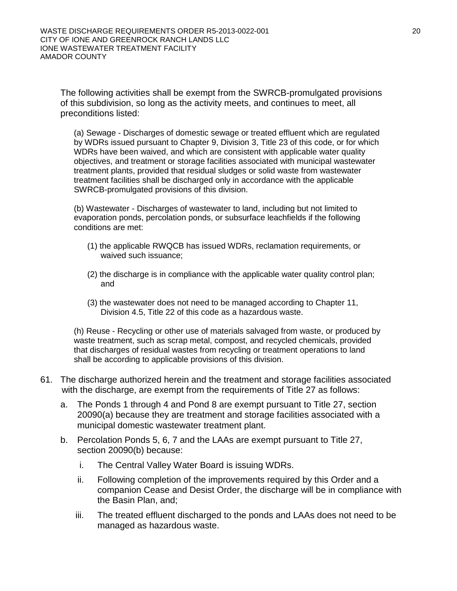The following activities shall be exempt from the SWRCB-promulgated provisions of this subdivision, so long as the activity meets, and continues to meet, all preconditions listed:

(a) Sewage - Discharges of domestic sewage or treated effluent which are regulated by WDRs issued pursuant to Chapter 9, Division 3, Title 23 of this code, or for which WDRs have been waived, and which are consistent with applicable water quality objectives, and treatment or storage facilities associated with municipal wastewater treatment plants, provided that residual sludges or solid waste from wastewater treatment facilities shall be discharged only in accordance with the applicable SWRCB-promulgated provisions of this division.

(b) Wastewater - Discharges of wastewater to land, including but not limited to evaporation ponds, percolation ponds, or subsurface leachfields if the following conditions are met:

- (1) the applicable RWQCB has issued WDRs, reclamation requirements, or waived such issuance;
- (2) the discharge is in compliance with the applicable water quality control plan; and
- (3) the wastewater does not need to be managed according to Chapter 11, Division 4.5, Title 22 of this code as a hazardous waste.

(h) Reuse - Recycling or other use of materials salvaged from waste, or produced by waste treatment, such as scrap metal, compost, and recycled chemicals, provided that discharges of residual wastes from recycling or treatment operations to land shall be according to applicable provisions of this division.

- 61. The discharge authorized herein and the treatment and storage facilities associated with the discharge, are exempt from the requirements of Title 27 as follows:
	- a. The Ponds 1 through 4 and Pond 8 are exempt pursuant to Title 27, section 20090(a) because they are treatment and storage facilities associated with a municipal domestic wastewater treatment plant.
	- b. Percolation Ponds 5, 6, 7 and the LAAs are exempt pursuant to Title 27, section 20090(b) because:
		- i. The Central Valley Water Board is issuing WDRs.
		- ii. Following completion of the improvements required by this Order and a companion Cease and Desist Order, the discharge will be in compliance with the Basin Plan, and;
		- iii. The treated effluent discharged to the ponds and LAAs does not need to be managed as hazardous waste.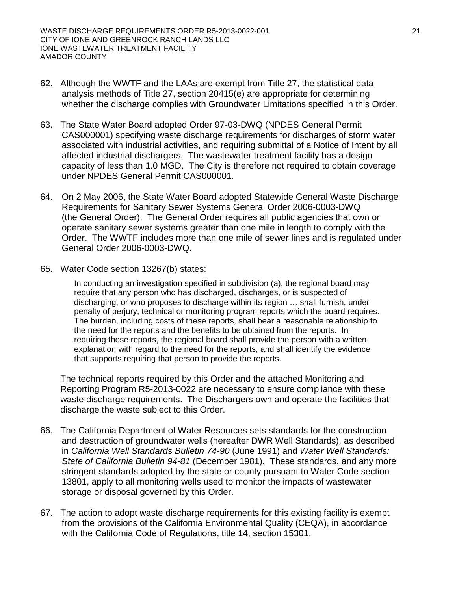- 62. Although the WWTF and the LAAs are exempt from Title 27, the statistical data analysis methods of Title 27, section 20415(e) are appropriate for determining whether the discharge complies with Groundwater Limitations specified in this Order.
- 63. The State Water Board adopted Order 97-03-DWQ (NPDES General Permit CAS000001) specifying waste discharge requirements for discharges of storm water associated with industrial activities, and requiring submittal of a Notice of Intent by all affected industrial dischargers. The wastewater treatment facility has a design capacity of less than 1.0 MGD. The City is therefore not required to obtain coverage under NPDES General Permit CAS000001.
- 64. On 2 May 2006, the State Water Board adopted Statewide General Waste Discharge Requirements for Sanitary Sewer Systems General Order 2006-0003-DWQ (the General Order). The General Order requires all public agencies that own or operate sanitary sewer systems greater than one mile in length to comply with the Order. The WWTF includes more than one mile of sewer lines and is regulated under General Order 2006-0003-DWQ.
- 65. Water Code section 13267(b) states:

In conducting an investigation specified in subdivision (a), the regional board may require that any person who has discharged, discharges, or is suspected of discharging, or who proposes to discharge within its region … shall furnish, under penalty of perjury, technical or monitoring program reports which the board requires. The burden, including costs of these reports, shall bear a reasonable relationship to the need for the reports and the benefits to be obtained from the reports. In requiring those reports, the regional board shall provide the person with a written explanation with regard to the need for the reports, and shall identify the evidence that supports requiring that person to provide the reports.

The technical reports required by this Order and the attached Monitoring and Reporting Program R5-2013-0022 are necessary to ensure compliance with these waste discharge requirements. The Dischargers own and operate the facilities that discharge the waste subject to this Order.

- 66. The California Department of Water Resources sets standards for the construction and destruction of groundwater wells (hereafter DWR Well Standards), as described in *California Well Standards Bulletin 74-90* (June 1991) and *Water Well Standards: State of California Bulletin 94-81* (December 1981). These standards, and any more stringent standards adopted by the state or county pursuant to Water Code section 13801, apply to all monitoring wells used to monitor the impacts of wastewater storage or disposal governed by this Order.
- 67. The action to adopt waste discharge requirements for this existing facility is exempt from the provisions of the California Environmental Quality (CEQA), in accordance with the California Code of Regulations, title 14, section 15301.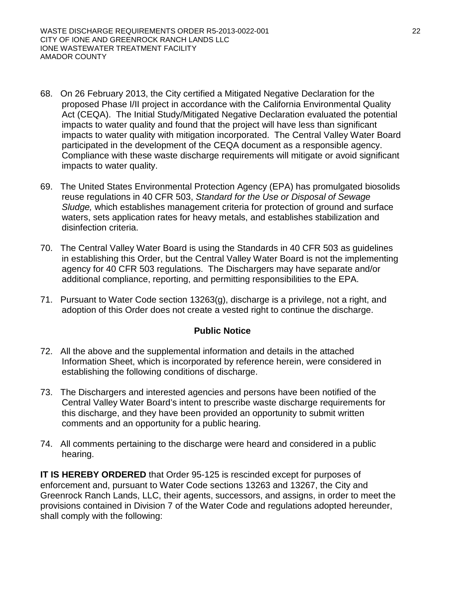- 68. On 26 February 2013, the City certified a Mitigated Negative Declaration for the proposed Phase I/II project in accordance with the California Environmental Quality Act (CEQA). The Initial Study/Mitigated Negative Declaration evaluated the potential impacts to water quality and found that the project will have less than significant impacts to water quality with mitigation incorporated. The Central Valley Water Board participated in the development of the CEQA document as a responsible agency. Compliance with these waste discharge requirements will mitigate or avoid significant impacts to water quality.
- 69. The United States Environmental Protection Agency (EPA) has promulgated biosolids reuse regulations in 40 CFR 503, *Standard for the Use or Disposal of Sewage Sludge,* which establishes management criteria for protection of ground and surface waters, sets application rates for heavy metals, and establishes stabilization and disinfection criteria.
- 70. The Central Valley Water Board is using the Standards in 40 CFR 503 as guidelines in establishing this Order, but the Central Valley Water Board is not the implementing agency for 40 CFR 503 regulations. The Dischargers may have separate and/or additional compliance, reporting, and permitting responsibilities to the EPA.
- 71. Pursuant to Water Code section 13263(g), discharge is a privilege, not a right, and adoption of this Order does not create a vested right to continue the discharge.

# **Public Notice**

- 72. All the above and the supplemental information and details in the attached Information Sheet, which is incorporated by reference herein, were considered in establishing the following conditions of discharge.
- 73. The Dischargers and interested agencies and persons have been notified of the Central Valley Water Board's intent to prescribe waste discharge requirements for this discharge, and they have been provided an opportunity to submit written comments and an opportunity for a public hearing.
- 74. All comments pertaining to the discharge were heard and considered in a public hearing.

**IT IS HEREBY ORDERED** that Order 95-125 is rescinded except for purposes of enforcement and, pursuant to Water Code sections 13263 and 13267, the City and Greenrock Ranch Lands, LLC, their agents, successors, and assigns, in order to meet the provisions contained in Division 7 of the Water Code and regulations adopted hereunder, shall comply with the following: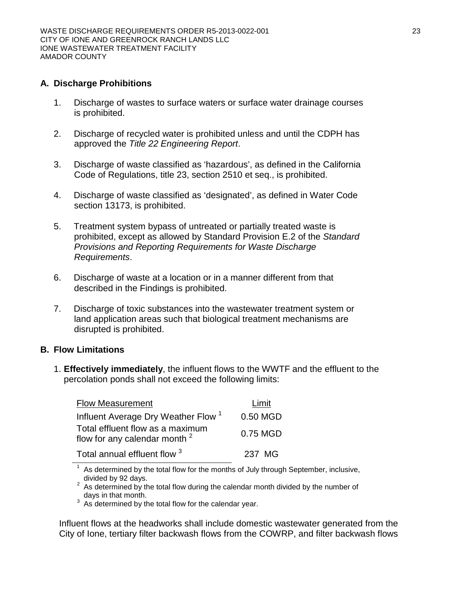# **A. Discharge Prohibitions**

- 1. Discharge of wastes to surface waters or surface water drainage courses is prohibited.
- 2. Discharge of recycled water is prohibited unless and until the CDPH has approved the *Title 22 Engineering Report*.
- 3. Discharge of waste classified as 'hazardous', as defined in the California Code of Regulations, title 23, section 2510 et seq., is prohibited.
- 4. Discharge of waste classified as 'designated', as defined in Water Code section 13173, is prohibited.
- 5. Treatment system bypass of untreated or partially treated waste is prohibited, except as allowed by Standard Provision E.2 of the *Standard Provisions and Reporting Requirements for Waste Discharge Requirements*.
- 6. Discharge of waste at a location or in a manner different from that described in the Findings is prohibited.
- 7. Discharge of toxic substances into the wastewater treatment system or land application areas such that biological treatment mechanisms are disrupted is prohibited.

# **B. Flow Limitations**

1. **Effectively immediately**, the influent flows to the WWTF and the effluent to the percolation ponds shall not exceed the following limits:

| <b>Flow Measurement</b>                                                      | Limit    |
|------------------------------------------------------------------------------|----------|
| Influent Average Dry Weather Flow <sup>1</sup>                               | 0.50 MGD |
| Total effluent flow as a maximum<br>flow for any calendar month <sup>2</sup> | 0.75 MGD |
| Total annual effluent flow 3                                                 | 237 MG   |

As determined by the total flow for the months of July through September, inclusive,

divided by 92 days.<br><sup>2</sup> As determined by the total flow during the calendar month divided by the number of

days in that month.<br> $3\text{ As determined by the total flow for the calendar year.}$ 

Influent flows at the headworks shall include domestic wastewater generated from the City of Ione, tertiary filter backwash flows from the COWRP, and filter backwash flows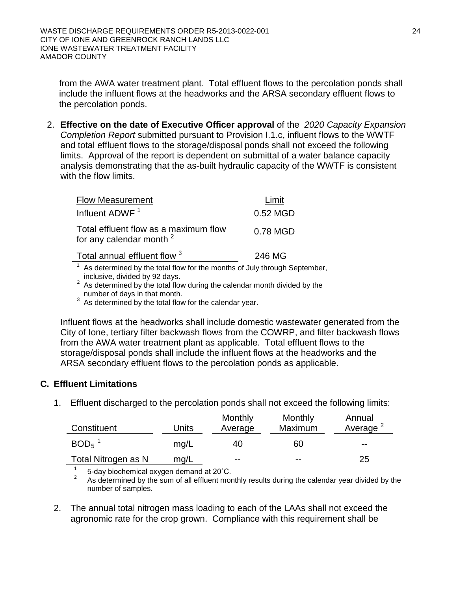from the AWA water treatment plant. Total effluent flows to the percolation ponds shall include the influent flows at the headworks and the ARSA secondary effluent flows to the percolation ponds.

2. **Effective on the date of Executive Officer approval** of the *2020 Capacity Expansion Completion Report* submitted pursuant to Provision I.1.c, influent flows to the WWTF and total effluent flows to the storage/disposal ponds shall not exceed the following limits. Approval of the report is dependent on submittal of a water balance capacity analysis demonstrating that the as-built hydraulic capacity of the WWTF is consistent with the flow limits.

| <b>Flow Measurement</b>                                                      | Limit    |
|------------------------------------------------------------------------------|----------|
| Influent ADWF <sup>1</sup>                                                   | 0.52 MGD |
| Total effluent flow as a maximum flow<br>for any calendar month <sup>2</sup> | 0.78 MGD |
| Total annual effluent flow 3                                                 | 246 MG   |
| $1$ As determined by the total flow for the months of July through Septe     |          |

As determined by the total flow for the months of July through September, inclusive, divided by 92 days.

<sup>2</sup> As determined by the total flow during the calendar month divided by the number of days in that month.<br><sup>3</sup> As determined by the total flow for the calendar year.

Influent flows at the headworks shall include domestic wastewater generated from the City of Ione, tertiary filter backwash flows from the COWRP, and filter backwash flows from the AWA water treatment plant as applicable. Total effluent flows to the storage/disposal ponds shall include the influent flows at the headworks and the ARSA secondary effluent flows to the percolation ponds as applicable.

# **C. Effluent Limitations**

1. Effluent discharged to the percolation ponds shall not exceed the following limits:

| Constituent         | Units | Monthly<br>Average | Monthly<br>Maximum | Annual<br>Average <sup>2</sup> |
|---------------------|-------|--------------------|--------------------|--------------------------------|
| $BOD5$ <sup>1</sup> | mq/L  | 40                 | 60                 | $- -$                          |
| Total Nitrogen as N | mg/L  | $- -$              | $- -$              | 25                             |

5-day biochemical oxygen demand at 20°C.<br>As determined by the sum of all effluent monthly results during the calendar year divided by the number of samples.

2. The annual total nitrogen mass loading to each of the LAAs shall not exceed the agronomic rate for the crop grown. Compliance with this requirement shall be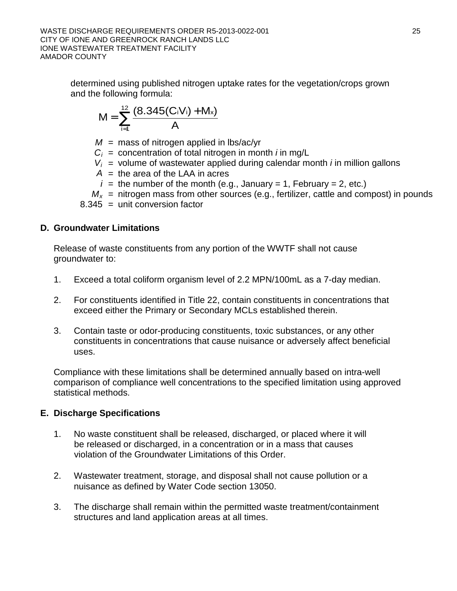determined using published nitrogen uptake rates for the vegetation/crops grown and the following formula:

$$
M = \bigotimes_{i=1}^{12} \frac{(8.345(C_iV_i) + M_x)}{A}
$$

 $M =$  mass of nitrogen applied in lbs/ac/yr

*Ci* = concentration of total nitrogen in month *i* in mg/L

- $V_i$  = volume of wastewater applied during calendar month *i* in million gallons
- $A =$  the area of the LAA in acres

 $i =$  the number of the month (e.g., January = 1, February = 2, etc.)

 $M_x$  = nitrogen mass from other sources (e.g., fertilizer, cattle and compost) in pounds 8.345 = unit conversion factor

# **D. Groundwater Limitations**

Release of waste constituents from any portion of the WWTF shall not cause groundwater to:

- 1. Exceed a total coliform organism level of 2.2 MPN/100mL as a 7-day median.
- 2. For constituents identified in Title 22, contain constituents in concentrations that exceed either the Primary or Secondary MCLs established therein.
- 3. Contain taste or odor-producing constituents, toxic substances, or any other constituents in concentrations that cause nuisance or adversely affect beneficial uses.

Compliance with these limitations shall be determined annually based on intra-well comparison of compliance well concentrations to the specified limitation using approved statistical methods.

# **E. Discharge Specifications**

- 1. No waste constituent shall be released, discharged, or placed where it will be released or discharged, in a concentration or in a mass that causes violation of the Groundwater Limitations of this Order.
- 2. Wastewater treatment, storage, and disposal shall not cause pollution or a nuisance as defined by Water Code section 13050.
- 3. The discharge shall remain within the permitted waste treatment/containment structures and land application areas at all times.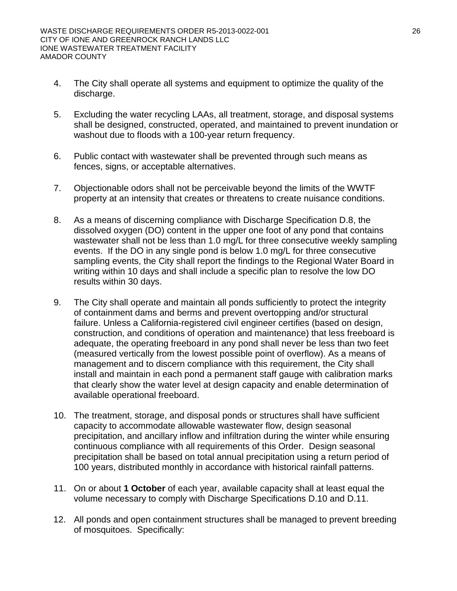- 4. The City shall operate all systems and equipment to optimize the quality of the discharge.
- 5. Excluding the water recycling LAAs, all treatment, storage, and disposal systems shall be designed, constructed, operated, and maintained to prevent inundation or washout due to floods with a 100-year return frequency.
- 6. Public contact with wastewater shall be prevented through such means as fences, signs, or acceptable alternatives.
- 7. Objectionable odors shall not be perceivable beyond the limits of the WWTF property at an intensity that creates or threatens to create nuisance conditions.
- 8. As a means of discerning compliance with Discharge Specification D.8, the dissolved oxygen (DO) content in the upper one foot of any pond that contains wastewater shall not be less than 1.0 mg/L for three consecutive weekly sampling events. If the DO in any single pond is below 1.0 mg/L for three consecutive sampling events, the City shall report the findings to the Regional Water Board in writing within 10 days and shall include a specific plan to resolve the low DO results within 30 days.
- 9. The City shall operate and maintain all ponds sufficiently to protect the integrity of containment dams and berms and prevent overtopping and/or structural failure. Unless a California-registered civil engineer certifies (based on design, construction, and conditions of operation and maintenance) that less freeboard is adequate, the operating freeboard in any pond shall never be less than two feet (measured vertically from the lowest possible point of overflow). As a means of management and to discern compliance with this requirement, the City shall install and maintain in each pond a permanent staff gauge with calibration marks that clearly show the water level at design capacity and enable determination of available operational freeboard.
- 10. The treatment, storage, and disposal ponds or structures shall have sufficient capacity to accommodate allowable wastewater flow, design seasonal precipitation, and ancillary inflow and infiltration during the winter while ensuring continuous compliance with all requirements of this Order. Design seasonal precipitation shall be based on total annual precipitation using a return period of 100 years, distributed monthly in accordance with historical rainfall patterns.
- 11. On or about **1 October** of each year, available capacity shall at least equal the volume necessary to comply with Discharge Specifications D.10 and D.11.
- 12. All ponds and open containment structures shall be managed to prevent breeding of mosquitoes. Specifically: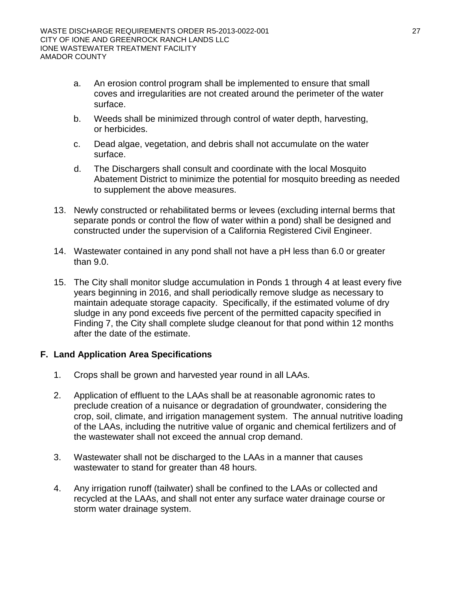- a. An erosion control program shall be implemented to ensure that small coves and irregularities are not created around the perimeter of the water surface.
- b. Weeds shall be minimized through control of water depth, harvesting, or herbicides.
- c. Dead algae, vegetation, and debris shall not accumulate on the water surface.
- d. The Dischargers shall consult and coordinate with the local Mosquito Abatement District to minimize the potential for mosquito breeding as needed to supplement the above measures.
- 13. Newly constructed or rehabilitated berms or levees (excluding internal berms that separate ponds or control the flow of water within a pond) shall be designed and constructed under the supervision of a California Registered Civil Engineer.
- 14. Wastewater contained in any pond shall not have a pH less than 6.0 or greater than 9.0.
- 15. The City shall monitor sludge accumulation in Ponds 1 through 4 at least every five years beginning in 2016, and shall periodically remove sludge as necessary to maintain adequate storage capacity. Specifically, if the estimated volume of dry sludge in any pond exceeds five percent of the permitted capacity specified in Finding 7, the City shall complete sludge cleanout for that pond within 12 months after the date of the estimate.

# **F. Land Application Area Specifications**

- 1. Crops shall be grown and harvested year round in all LAAs.
- 2. Application of effluent to the LAAs shall be at reasonable agronomic rates to preclude creation of a nuisance or degradation of groundwater, considering the crop, soil, climate, and irrigation management system. The annual nutritive loading of the LAAs, including the nutritive value of organic and chemical fertilizers and of the wastewater shall not exceed the annual crop demand.
- 3. Wastewater shall not be discharged to the LAAs in a manner that causes wastewater to stand for greater than 48 hours.
- 4. Any irrigation runoff (tailwater) shall be confined to the LAAs or collected and recycled at the LAAs, and shall not enter any surface water drainage course or storm water drainage system.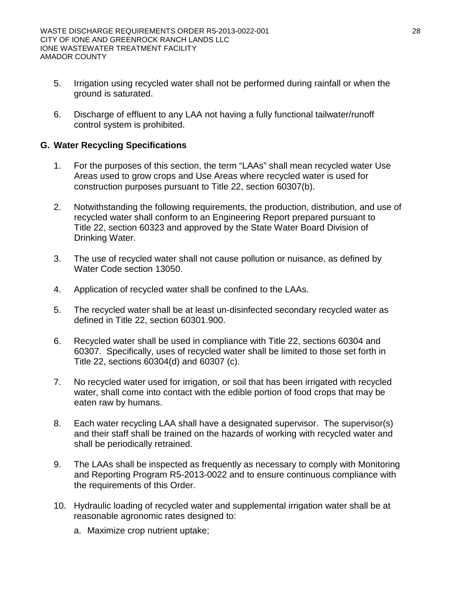- 5. Irrigation using recycled water shall not be performed during rainfall or when the ground is saturated.
- 6. Discharge of effluent to any LAA not having a fully functional tailwater/runoff control system is prohibited.

# **G. Water Recycling Specifications**

- 1. For the purposes of this section, the term "LAAs" shall mean recycled water Use Areas used to grow crops and Use Areas where recycled water is used for construction purposes pursuant to Title 22, section 60307(b).
- 2. Notwithstanding the following requirements, the production, distribution, and use of recycled water shall conform to an Engineering Report prepared pursuant to Title 22, section 60323 and approved by the State Water Board Division of Drinking Water.
- 3. The use of recycled water shall not cause pollution or nuisance, as defined by Water Code section 13050.
- 4. Application of recycled water shall be confined to the LAAs.
- 5. The recycled water shall be at least un-disinfected secondary recycled water as defined in Title 22, section 60301.900.
- 6. Recycled water shall be used in compliance with Title 22, sections 60304 and 60307. Specifically, uses of recycled water shall be limited to those set forth in Title 22, sections 60304(d) and 60307 (c).
- 7. No recycled water used for irrigation, or soil that has been irrigated with recycled water, shall come into contact with the edible portion of food crops that may be eaten raw by humans.
- 8. Each water recycling LAA shall have a designated supervisor. The supervisor(s) and their staff shall be trained on the hazards of working with recycled water and shall be periodically retrained.
- 9. The LAAs shall be inspected as frequently as necessary to comply with Monitoring and Reporting Program R5-2013-0022 and to ensure continuous compliance with the requirements of this Order.
- 10. Hydraulic loading of recycled water and supplemental irrigation water shall be at reasonable agronomic rates designed to:
	- a. Maximize crop nutrient uptake;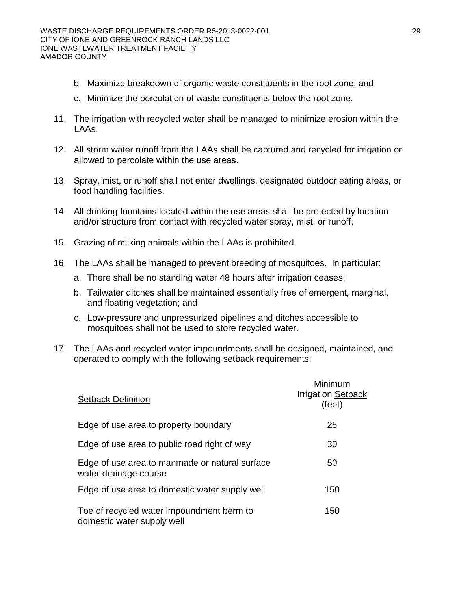- b. Maximize breakdown of organic waste constituents in the root zone; and
- c. Minimize the percolation of waste constituents below the root zone.
- 11. The irrigation with recycled water shall be managed to minimize erosion within the LAAs.
- 12. All storm water runoff from the LAAs shall be captured and recycled for irrigation or allowed to percolate within the use areas.
- 13. Spray, mist, or runoff shall not enter dwellings, designated outdoor eating areas, or food handling facilities.
- 14. All drinking fountains located within the use areas shall be protected by location and/or structure from contact with recycled water spray, mist, or runoff.
- 15. Grazing of milking animals within the LAAs is prohibited.
- 16. The LAAs shall be managed to prevent breeding of mosquitoes. In particular:
	- a. There shall be no standing water 48 hours after irrigation ceases;
	- b. Tailwater ditches shall be maintained essentially free of emergent, marginal, and floating vegetation; and
	- c. Low-pressure and unpressurized pipelines and ditches accessible to mosquitoes shall not be used to store recycled water.
- 17. The LAAs and recycled water impoundments shall be designed, maintained, and operated to comply with the following setback requirements:

| <b>Setback Definition</b>                                               | Minimum<br><b>Irrigation Setback</b><br>(feet) |
|-------------------------------------------------------------------------|------------------------------------------------|
| Edge of use area to property boundary                                   | 25                                             |
| Edge of use area to public road right of way                            | 30                                             |
| Edge of use area to manmade or natural surface<br>water drainage course | 50                                             |
| Edge of use area to domestic water supply well                          | 150                                            |
| Toe of recycled water impoundment berm to<br>domestic water supply well | 150                                            |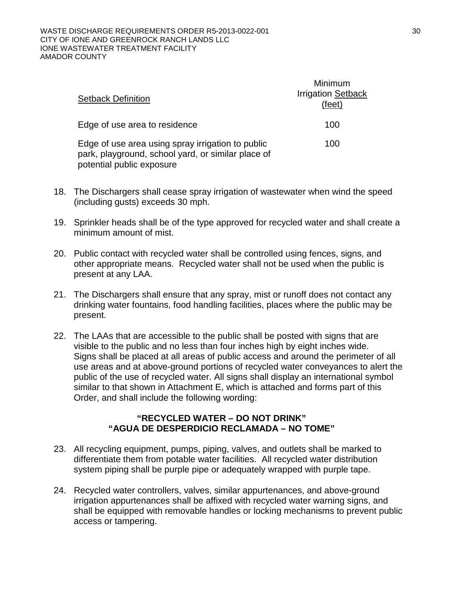| <b>Setback Definition</b>                                                                                                            | Minimum<br><b>Irrigation Setback</b><br>(feet) |
|--------------------------------------------------------------------------------------------------------------------------------------|------------------------------------------------|
| Edge of use area to residence                                                                                                        | 100                                            |
| Edge of use area using spray irrigation to public<br>park, playground, school yard, or similar place of<br>potential public exposure | 100                                            |

- 18. The Dischargers shall cease spray irrigation of wastewater when wind the speed (including gusts) exceeds 30 mph.
- 19. Sprinkler heads shall be of the type approved for recycled water and shall create a minimum amount of mist.
- 20. Public contact with recycled water shall be controlled using fences, signs, and other appropriate means. Recycled water shall not be used when the public is present at any LAA.
- 21. The Dischargers shall ensure that any spray, mist or runoff does not contact any drinking water fountains, food handling facilities, places where the public may be present.
- 22. The LAAs that are accessible to the public shall be posted with signs that are visible to the public and no less than four inches high by eight inches wide. Signs shall be placed at all areas of public access and around the perimeter of all use areas and at above-ground portions of recycled water conveyances to alert the public of the use of recycled water. All signs shall display an international symbol similar to that shown in Attachment E, which is attached and forms part of this Order, and shall include the following wording:

#### **"RECYCLED WATER – DO NOT DRINK" "AGUA DE DESPERDICIO RECLAMADA – NO TOME"**

- 23. All recycling equipment, pumps, piping, valves, and outlets shall be marked to differentiate them from potable water facilities. All recycled water distribution system piping shall be purple pipe or adequately wrapped with purple tape.
- 24. Recycled water controllers, valves, similar appurtenances, and above-ground irrigation appurtenances shall be affixed with recycled water warning signs, and shall be equipped with removable handles or locking mechanisms to prevent public access or tampering.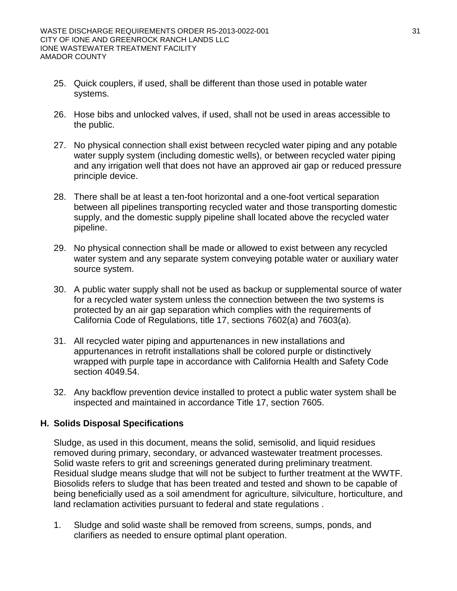- 25. Quick couplers, if used, shall be different than those used in potable water systems.
- 26. Hose bibs and unlocked valves, if used, shall not be used in areas accessible to the public.
- 27. No physical connection shall exist between recycled water piping and any potable water supply system (including domestic wells), or between recycled water piping and any irrigation well that does not have an approved air gap or reduced pressure principle device.
- 28. There shall be at least a ten-foot horizontal and a one-foot vertical separation between all pipelines transporting recycled water and those transporting domestic supply, and the domestic supply pipeline shall located above the recycled water pipeline.
- 29. No physical connection shall be made or allowed to exist between any recycled water system and any separate system conveying potable water or auxiliary water source system.
- 30. A public water supply shall not be used as backup or supplemental source of water for a recycled water system unless the connection between the two systems is protected by an air gap separation which complies with the requirements of California Code of Regulations, title 17, sections 7602(a) and 7603(a).
- 31. All recycled water piping and appurtenances in new installations and appurtenances in retrofit installations shall be colored purple or distinctively wrapped with purple tape in accordance with California Health and Safety Code section 4049.54.
- 32. Any backflow prevention device installed to protect a public water system shall be inspected and maintained in accordance Title 17, section 7605.

# **H. Solids Disposal Specifications**

Sludge, as used in this document, means the solid, semisolid, and liquid residues removed during primary, secondary, or advanced wastewater treatment processes. Solid waste refers to grit and screenings generated during preliminary treatment. Residual sludge means sludge that will not be subject to further treatment at the WWTF. Biosolids refers to sludge that has been treated and tested and shown to be capable of being beneficially used as a soil amendment for agriculture, silviculture, horticulture, and land reclamation activities pursuant to federal and state regulations .

1. Sludge and solid waste shall be removed from screens, sumps, ponds, and clarifiers as needed to ensure optimal plant operation.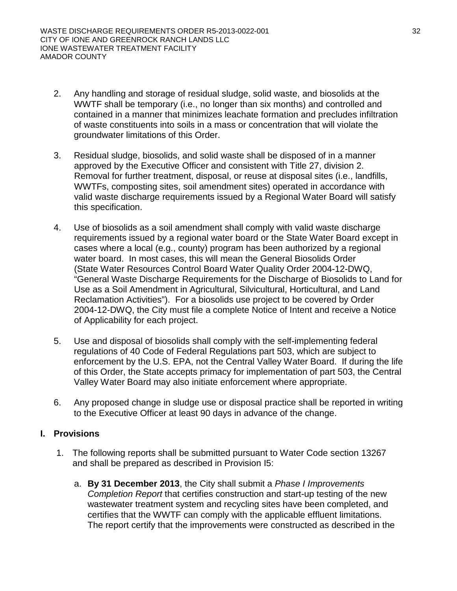- 2. Any handling and storage of residual sludge, solid waste, and biosolids at the WWTF shall be temporary (i.e., no longer than six months) and controlled and contained in a manner that minimizes leachate formation and precludes infiltration of waste constituents into soils in a mass or concentration that will violate the groundwater limitations of this Order.
- 3. Residual sludge, biosolids, and solid waste shall be disposed of in a manner approved by the Executive Officer and consistent with Title 27, division 2. Removal for further treatment, disposal, or reuse at disposal sites (i.e., landfills, WWTFs, composting sites, soil amendment sites) operated in accordance with valid waste discharge requirements issued by a Regional Water Board will satisfy this specification.
- 4. Use of biosolids as a soil amendment shall comply with valid waste discharge requirements issued by a regional water board or the State Water Board except in cases where a local (e.g., county) program has been authorized by a regional water board. In most cases, this will mean the General Biosolids Order (State Water Resources Control Board Water Quality Order 2004-12-DWQ, "General Waste Discharge Requirements for the Discharge of Biosolids to Land for Use as a Soil Amendment in Agricultural, Silvicultural, Horticultural, and Land Reclamation Activities"). For a biosolids use project to be covered by Order 2004-12-DWQ, the City must file a complete Notice of Intent and receive a Notice of Applicability for each project.
- 5. Use and disposal of biosolids shall comply with the self-implementing federal regulations of 40 Code of Federal Regulations part 503, which are subject to enforcement by the U.S. EPA, not the Central Valley Water Board. If during the life of this Order, the State accepts primacy for implementation of part 503, the Central Valley Water Board may also initiate enforcement where appropriate.
- 6. Any proposed change in sludge use or disposal practice shall be reported in writing to the Executive Officer at least 90 days in advance of the change.

# **I. Provisions**

- 1. The following reports shall be submitted pursuant to Water Code section 13267 and shall be prepared as described in Provision I5:
	- a. **By 31 December 2013**, the City shall submit a *Phase I Improvements Completion Report* that certifies construction and start-up testing of the new wastewater treatment system and recycling sites have been completed, and certifies that the WWTF can comply with the applicable effluent limitations. The report certify that the improvements were constructed as described in the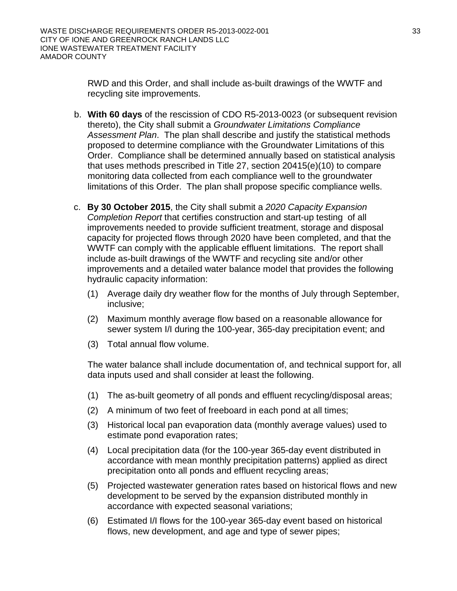RWD and this Order, and shall include as-built drawings of the WWTF and recycling site improvements.

- b. **With 60 days** of the rescission of CDO R5-2013-0023 (or subsequent revision thereto), the City shall submit a *Groundwater Limitations Compliance Assessment Plan*. The plan shall describe and justify the statistical methods proposed to determine compliance with the Groundwater Limitations of this Order. Compliance shall be determined annually based on statistical analysis that uses methods prescribed in Title 27, section 20415(e)(10) to compare monitoring data collected from each compliance well to the groundwater limitations of this Order. The plan shall propose specific compliance wells.
- c. **By 30 October 2015**, the City shall submit a *2020 Capacity Expansion Completion Report* that certifies construction and start-up testing of all improvements needed to provide sufficient treatment, storage and disposal capacity for projected flows through 2020 have been completed, and that the WWTF can comply with the applicable effluent limitations. The report shall include as-built drawings of the WWTF and recycling site and/or other improvements and a detailed water balance model that provides the following hydraulic capacity information:
	- (1) Average daily dry weather flow for the months of July through September, inclusive;
	- (2) Maximum monthly average flow based on a reasonable allowance for sewer system I/I during the 100-year, 365-day precipitation event; and
	- (3) Total annual flow volume.

The water balance shall include documentation of, and technical support for, all data inputs used and shall consider at least the following.

- (1) The as-built geometry of all ponds and effluent recycling/disposal areas;
- (2) A minimum of two feet of freeboard in each pond at all times;
- (3) Historical local pan evaporation data (monthly average values) used to estimate pond evaporation rates;
- (4) Local precipitation data (for the 100-year 365-day event distributed in accordance with mean monthly precipitation patterns) applied as direct precipitation onto all ponds and effluent recycling areas;
- (5) Projected wastewater generation rates based on historical flows and new development to be served by the expansion distributed monthly in accordance with expected seasonal variations;
- (6) Estimated I/I flows for the 100-year 365-day event based on historical flows, new development, and age and type of sewer pipes;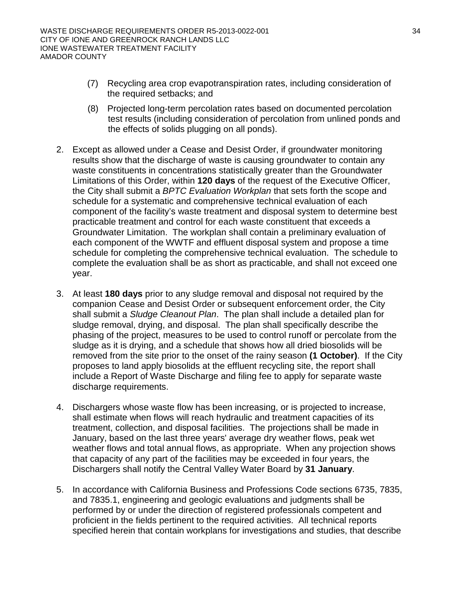- (7) Recycling area crop evapotranspiration rates, including consideration of the required setbacks; and
- (8) Projected long-term percolation rates based on documented percolation test results (including consideration of percolation from unlined ponds and the effects of solids plugging on all ponds).
- 2. Except as allowed under a Cease and Desist Order, if groundwater monitoring results show that the discharge of waste is causing groundwater to contain any waste constituents in concentrations statistically greater than the Groundwater Limitations of this Order, within **120 days** of the request of the Executive Officer, the City shall submit a *BPTC Evaluation Workplan* that sets forth the scope and schedule for a systematic and comprehensive technical evaluation of each component of the facility's waste treatment and disposal system to determine best practicable treatment and control for each waste constituent that exceeds a Groundwater Limitation. The workplan shall contain a preliminary evaluation of each component of the WWTF and effluent disposal system and propose a time schedule for completing the comprehensive technical evaluation. The schedule to complete the evaluation shall be as short as practicable, and shall not exceed one year.
- 3. At least **180 days** prior to any sludge removal and disposal not required by the companion Cease and Desist Order or subsequent enforcement order, the City shall submit a *Sludge Cleanout Plan*. The plan shall include a detailed plan for sludge removal, drying, and disposal. The plan shall specifically describe the phasing of the project, measures to be used to control runoff or percolate from the sludge as it is drying, and a schedule that shows how all dried biosolids will be removed from the site prior to the onset of the rainy season **(1 October)**. If the City proposes to land apply biosolids at the effluent recycling site, the report shall include a Report of Waste Discharge and filing fee to apply for separate waste discharge requirements.
- 4. Dischargers whose waste flow has been increasing, or is projected to increase, shall estimate when flows will reach hydraulic and treatment capacities of its treatment, collection, and disposal facilities. The projections shall be made in January, based on the last three years' average dry weather flows, peak wet weather flows and total annual flows, as appropriate. When any projection shows that capacity of any part of the facilities may be exceeded in four years, the Dischargers shall notify the Central Valley Water Board by **31 January**.
- 5. In accordance with California Business and Professions Code sections 6735, 7835, and 7835.1, engineering and geologic evaluations and judgments shall be performed by or under the direction of registered professionals competent and proficient in the fields pertinent to the required activities. All technical reports specified herein that contain workplans for investigations and studies, that describe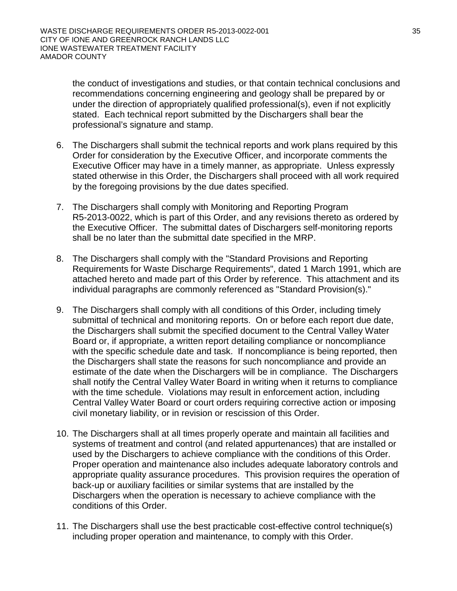the conduct of investigations and studies, or that contain technical conclusions and recommendations concerning engineering and geology shall be prepared by or under the direction of appropriately qualified professional(s), even if not explicitly stated. Each technical report submitted by the Dischargers shall bear the professional's signature and stamp.

- 6. The Dischargers shall submit the technical reports and work plans required by this Order for consideration by the Executive Officer, and incorporate comments the Executive Officer may have in a timely manner, as appropriate. Unless expressly stated otherwise in this Order, the Dischargers shall proceed with all work required by the foregoing provisions by the due dates specified.
- 7. The Dischargers shall comply with Monitoring and Reporting Program R5-2013-0022, which is part of this Order, and any revisions thereto as ordered by the Executive Officer. The submittal dates of Dischargers self-monitoring reports shall be no later than the submittal date specified in the MRP.
- 8. The Dischargers shall comply with the "Standard Provisions and Reporting Requirements for Waste Discharge Requirements", dated 1 March 1991, which are attached hereto and made part of this Order by reference. This attachment and its individual paragraphs are commonly referenced as "Standard Provision(s)."
- 9. The Dischargers shall comply with all conditions of this Order, including timely submittal of technical and monitoring reports. On or before each report due date, the Dischargers shall submit the specified document to the Central Valley Water Board or, if appropriate, a written report detailing compliance or noncompliance with the specific schedule date and task. If noncompliance is being reported, then the Dischargers shall state the reasons for such noncompliance and provide an estimate of the date when the Dischargers will be in compliance. The Dischargers shall notify the Central Valley Water Board in writing when it returns to compliance with the time schedule. Violations may result in enforcement action, including Central Valley Water Board or court orders requiring corrective action or imposing civil monetary liability, or in revision or rescission of this Order.
- 10. The Dischargers shall at all times properly operate and maintain all facilities and systems of treatment and control (and related appurtenances) that are installed or used by the Dischargers to achieve compliance with the conditions of this Order. Proper operation and maintenance also includes adequate laboratory controls and appropriate quality assurance procedures. This provision requires the operation of back-up or auxiliary facilities or similar systems that are installed by the Dischargers when the operation is necessary to achieve compliance with the conditions of this Order.
- 11. The Dischargers shall use the best practicable cost-effective control technique(s) including proper operation and maintenance, to comply with this Order.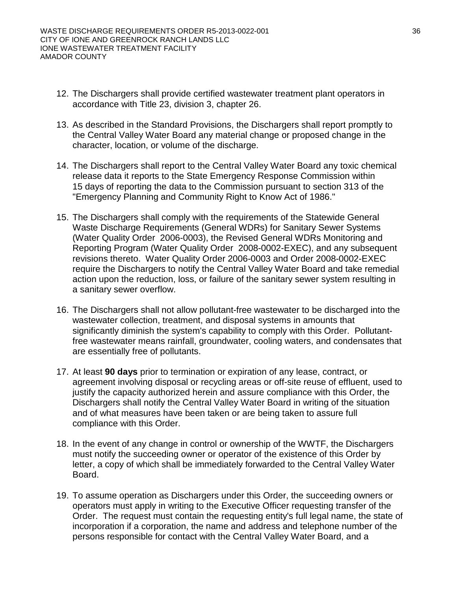- 12. The Dischargers shall provide certified wastewater treatment plant operators in accordance with Title 23, division 3, chapter 26.
- 13. As described in the Standard Provisions, the Dischargers shall report promptly to the Central Valley Water Board any material change or proposed change in the character, location, or volume of the discharge.
- 14. The Dischargers shall report to the Central Valley Water Board any toxic chemical release data it reports to the State Emergency Response Commission within 15 days of reporting the data to the Commission pursuant to section 313 of the "Emergency Planning and Community Right to Know Act of 1986."
- 15. The Dischargers shall comply with the requirements of the Statewide General Waste Discharge Requirements (General WDRs) for Sanitary Sewer Systems (Water Quality Order 2006-0003), the Revised General WDRs Monitoring and Reporting Program (Water Quality Order 2008-0002-EXEC), and any subsequent revisions thereto. Water Quality Order 2006-0003 and Order 2008-0002-EXEC require the Dischargers to notify the Central Valley Water Board and take remedial action upon the reduction, loss, or failure of the sanitary sewer system resulting in a sanitary sewer overflow.
- 16. The Dischargers shall not allow pollutant-free wastewater to be discharged into the wastewater collection, treatment, and disposal systems in amounts that significantly diminish the system's capability to comply with this Order. Pollutantfree wastewater means rainfall, groundwater, cooling waters, and condensates that are essentially free of pollutants.
- 17. At least **90 days** prior to termination or expiration of any lease, contract, or agreement involving disposal or recycling areas or off-site reuse of effluent, used to justify the capacity authorized herein and assure compliance with this Order, the Dischargers shall notify the Central Valley Water Board in writing of the situation and of what measures have been taken or are being taken to assure full compliance with this Order.
- 18. In the event of any change in control or ownership of the WWTF, the Dischargers must notify the succeeding owner or operator of the existence of this Order by letter, a copy of which shall be immediately forwarded to the Central Valley Water Board.
- 19. To assume operation as Dischargers under this Order, the succeeding owners or operators must apply in writing to the Executive Officer requesting transfer of the Order. The request must contain the requesting entity's full legal name, the state of incorporation if a corporation, the name and address and telephone number of the persons responsible for contact with the Central Valley Water Board, and a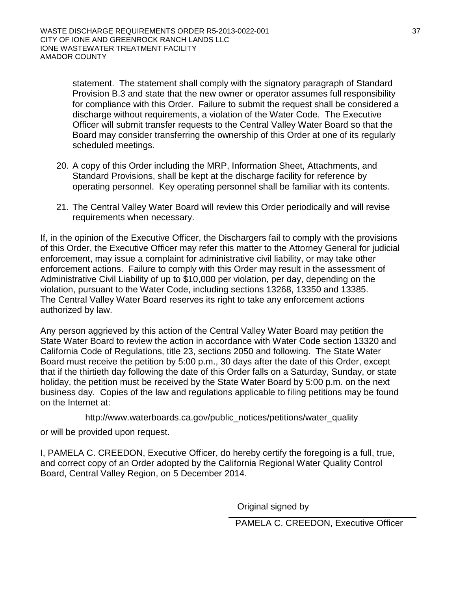statement. The statement shall comply with the signatory paragraph of Standard Provision B.3 and state that the new owner or operator assumes full responsibility for compliance with this Order. Failure to submit the request shall be considered a discharge without requirements, a violation of the Water Code. The Executive Officer will submit transfer requests to the Central Valley Water Board so that the Board may consider transferring the ownership of this Order at one of its regularly scheduled meetings.

- 20. A copy of this Order including the MRP, Information Sheet, Attachments, and Standard Provisions, shall be kept at the discharge facility for reference by operating personnel. Key operating personnel shall be familiar with its contents.
- 21. The Central Valley Water Board will review this Order periodically and will revise requirements when necessary.

If, in the opinion of the Executive Officer, the Dischargers fail to comply with the provisions of this Order, the Executive Officer may refer this matter to the Attorney General for judicial enforcement, may issue a complaint for administrative civil liability, or may take other enforcement actions. Failure to comply with this Order may result in the assessment of Administrative Civil Liability of up to \$10,000 per violation, per day, depending on the violation, pursuant to the Water Code, including sections 13268, 13350 and 13385. The Central Valley Water Board reserves its right to take any enforcement actions authorized by law.

Any person aggrieved by this action of the Central Valley Water Board may petition the State Water Board to review the action in accordance with Water Code section 13320 and California Code of Regulations, title 23, sections 2050 and following. The State Water Board must receive the petition by 5:00 p.m., 30 days after the date of this Order, except that if the thirtieth day following the date of this Order falls on a Saturday, Sunday, or state holiday, the petition must be received by the State Water Board by 5:00 p.m. on the next business day. Copies of the law and regulations applicable to filing petitions may be found on the Internet at:

http://www.waterboards.ca.gov/public\_notices/petitions/water\_quality

or will be provided upon request.

I, PAMELA C. CREEDON, Executive Officer, do hereby certify the foregoing is a full, true, and correct copy of an Order adopted by the California Regional Water Quality Control Board, Central Valley Region, on 5 December 2014.

Original signed by

PAMELA C. CREEDON, Executive Officer